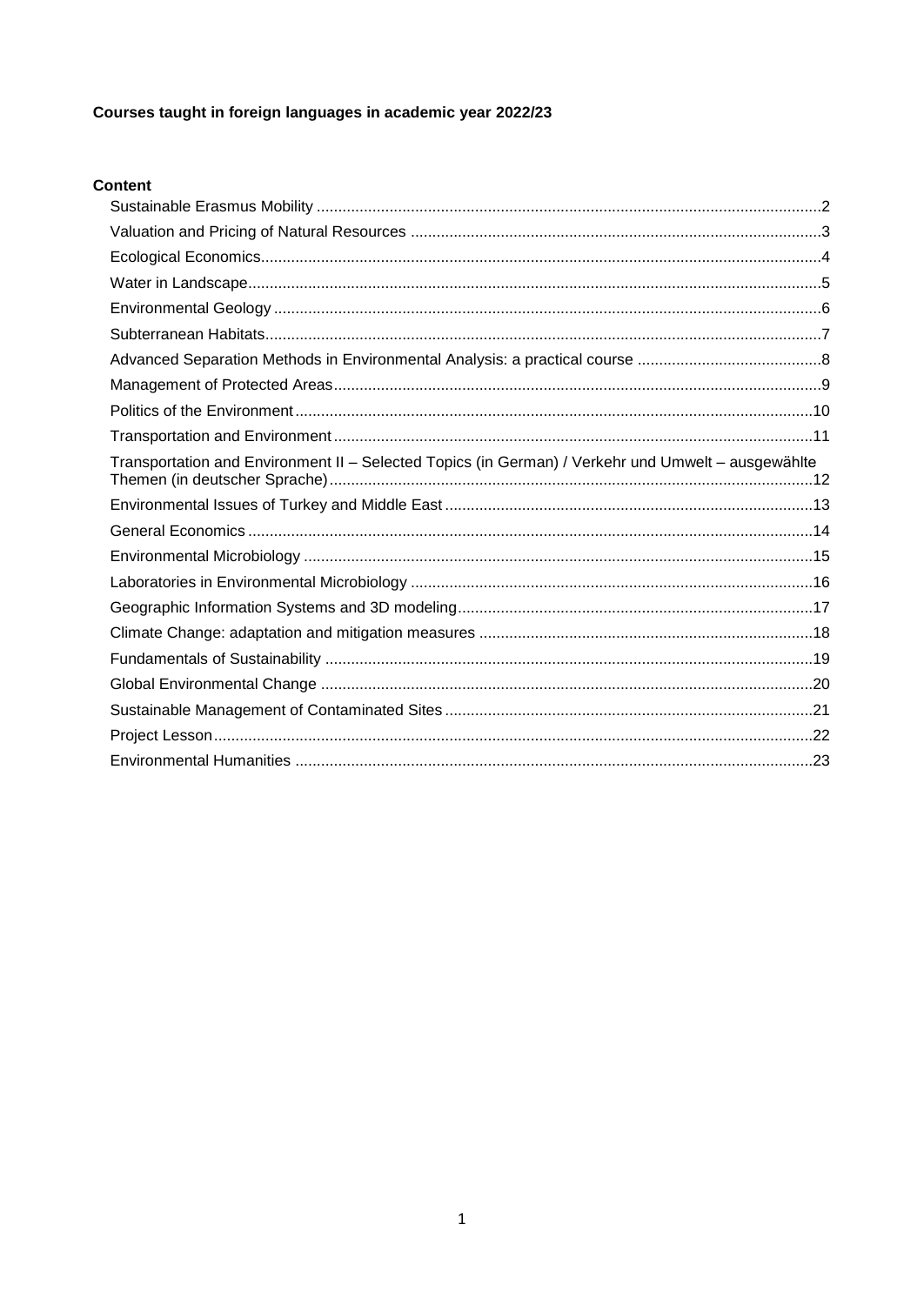## Courses taught in foreign languages in academic year 2022/23

## Content

| Transportation and Environment II - Selected Topics (in German) / Verkehr und Umwelt - ausgewählte |
|----------------------------------------------------------------------------------------------------|
|                                                                                                    |
|                                                                                                    |
|                                                                                                    |
|                                                                                                    |
|                                                                                                    |
|                                                                                                    |
|                                                                                                    |
|                                                                                                    |
|                                                                                                    |
|                                                                                                    |
|                                                                                                    |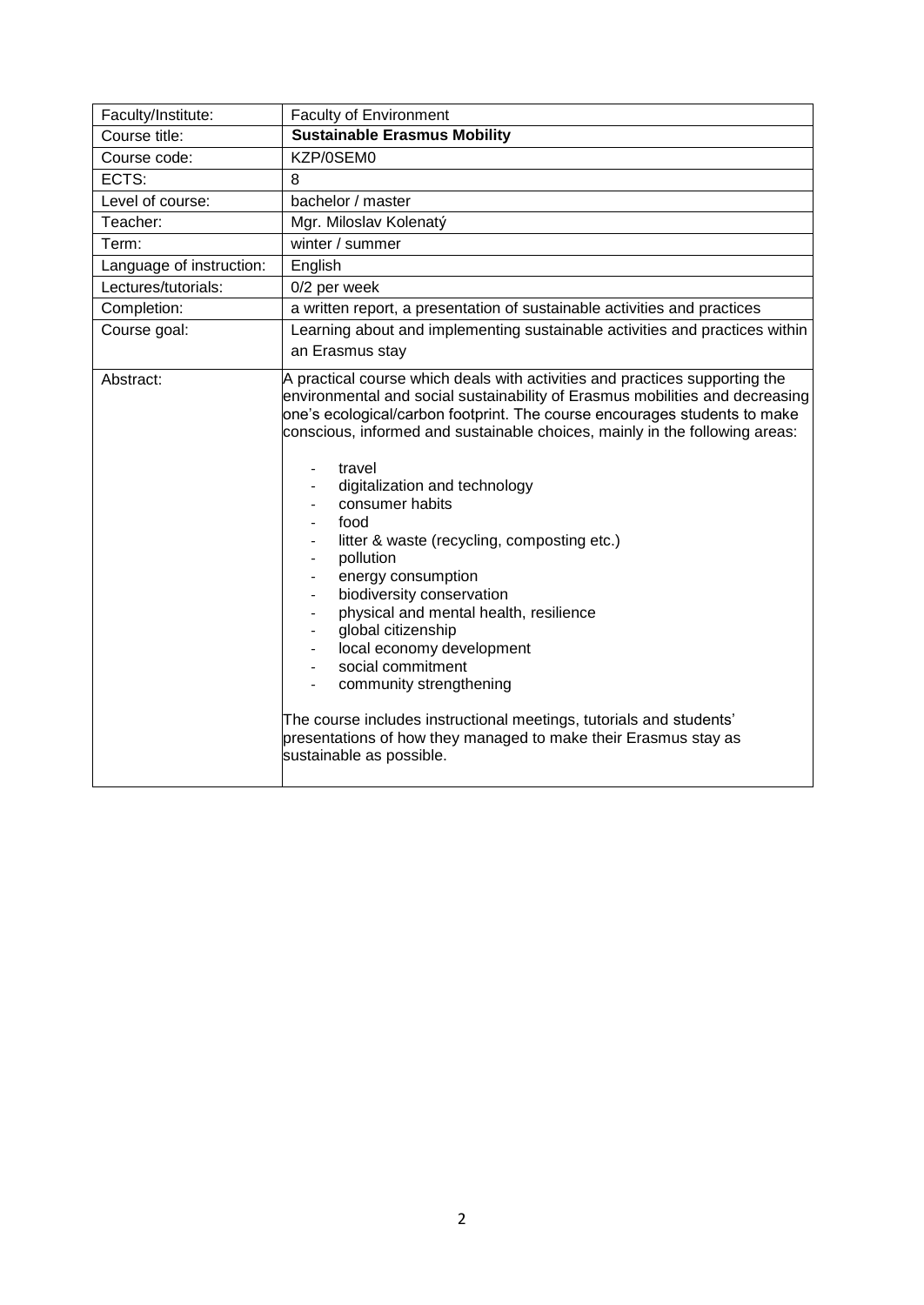<span id="page-1-0"></span>

| Faculty/Institute:       | <b>Faculty of Environment</b>                                                                                                                                                                                                                                                                                                                                                                                                                                                                                                                                                                                                                                                                                                                                                                                                   |
|--------------------------|---------------------------------------------------------------------------------------------------------------------------------------------------------------------------------------------------------------------------------------------------------------------------------------------------------------------------------------------------------------------------------------------------------------------------------------------------------------------------------------------------------------------------------------------------------------------------------------------------------------------------------------------------------------------------------------------------------------------------------------------------------------------------------------------------------------------------------|
| Course title:            | <b>Sustainable Erasmus Mobility</b>                                                                                                                                                                                                                                                                                                                                                                                                                                                                                                                                                                                                                                                                                                                                                                                             |
| Course code:             | KZP/0SEM0                                                                                                                                                                                                                                                                                                                                                                                                                                                                                                                                                                                                                                                                                                                                                                                                                       |
| ECTS:                    | 8                                                                                                                                                                                                                                                                                                                                                                                                                                                                                                                                                                                                                                                                                                                                                                                                                               |
| Level of course:         | bachelor / master                                                                                                                                                                                                                                                                                                                                                                                                                                                                                                                                                                                                                                                                                                                                                                                                               |
| Teacher:                 | Mgr. Miloslav Kolenatý                                                                                                                                                                                                                                                                                                                                                                                                                                                                                                                                                                                                                                                                                                                                                                                                          |
| Term:                    | winter / summer                                                                                                                                                                                                                                                                                                                                                                                                                                                                                                                                                                                                                                                                                                                                                                                                                 |
| Language of instruction: | English                                                                                                                                                                                                                                                                                                                                                                                                                                                                                                                                                                                                                                                                                                                                                                                                                         |
| Lectures/tutorials:      | 0/2 per week                                                                                                                                                                                                                                                                                                                                                                                                                                                                                                                                                                                                                                                                                                                                                                                                                    |
| Completion:              | a written report, a presentation of sustainable activities and practices                                                                                                                                                                                                                                                                                                                                                                                                                                                                                                                                                                                                                                                                                                                                                        |
| Course goal:             | Learning about and implementing sustainable activities and practices within<br>an Erasmus stay                                                                                                                                                                                                                                                                                                                                                                                                                                                                                                                                                                                                                                                                                                                                  |
| Abstract:                | A practical course which deals with activities and practices supporting the<br>environmental and social sustainability of Erasmus mobilities and decreasing<br>one's ecological/carbon footprint. The course encourages students to make<br>conscious, informed and sustainable choices, mainly in the following areas:<br>travel<br>digitalization and technology<br>consumer habits<br>food<br>litter & waste (recycling, composting etc.)<br>pollution<br>energy consumption<br>biodiversity conservation<br>physical and mental health, resilience<br>global citizenship<br>local economy development<br>social commitment<br>community strengthening<br>The course includes instructional meetings, tutorials and students'<br>presentations of how they managed to make their Erasmus stay as<br>sustainable as possible. |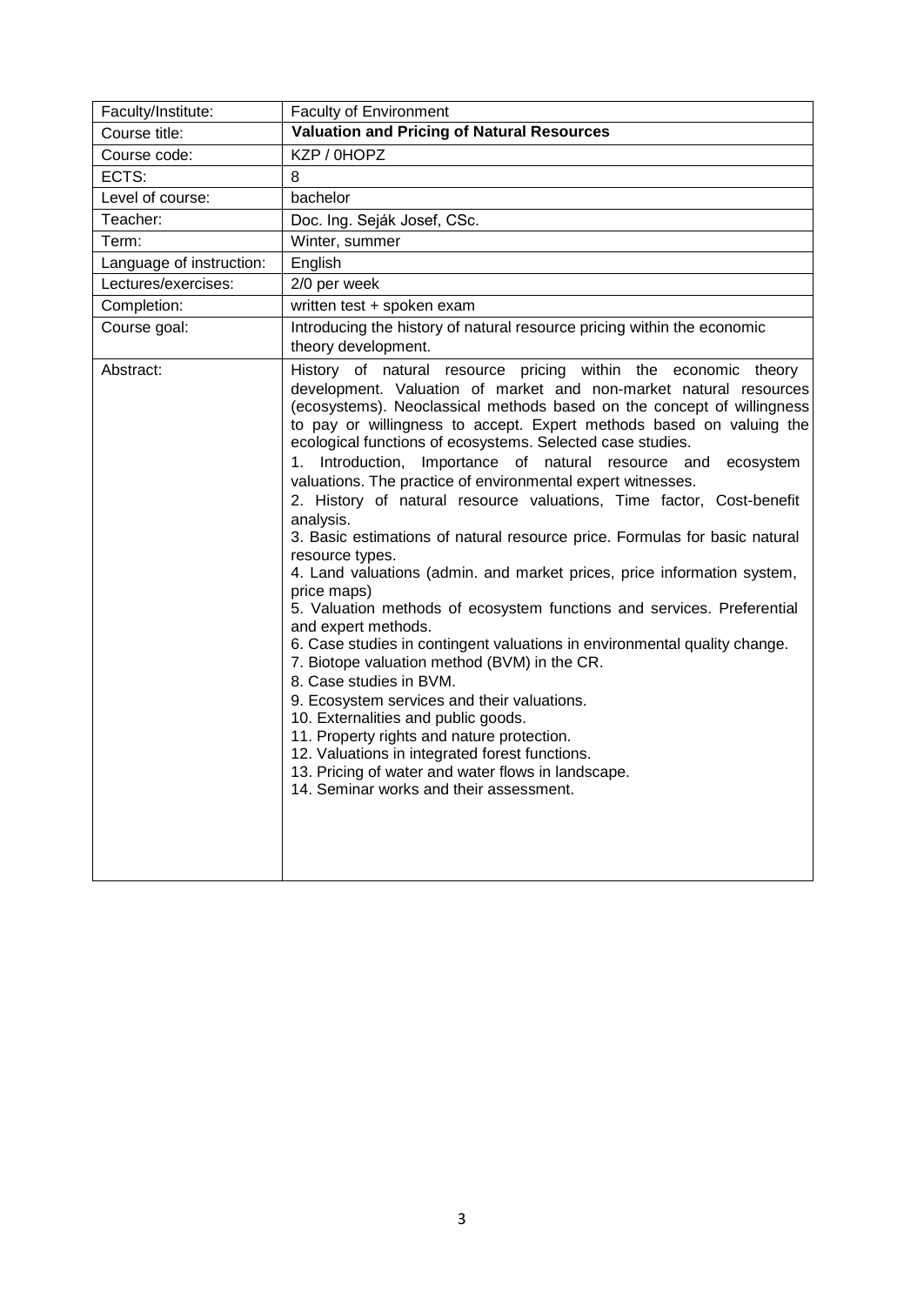<span id="page-2-0"></span>

| Faculty/Institute:       | <b>Faculty of Environment</b>                                                                                                                                                                                                                                                                                                                                                                                                                                                                                                                                                                                                                                                                                                                                                                                                                                                                                                                                                                                                                                                                                                                                                                                                                                                                                             |
|--------------------------|---------------------------------------------------------------------------------------------------------------------------------------------------------------------------------------------------------------------------------------------------------------------------------------------------------------------------------------------------------------------------------------------------------------------------------------------------------------------------------------------------------------------------------------------------------------------------------------------------------------------------------------------------------------------------------------------------------------------------------------------------------------------------------------------------------------------------------------------------------------------------------------------------------------------------------------------------------------------------------------------------------------------------------------------------------------------------------------------------------------------------------------------------------------------------------------------------------------------------------------------------------------------------------------------------------------------------|
| Course title:            | <b>Valuation and Pricing of Natural Resources</b>                                                                                                                                                                                                                                                                                                                                                                                                                                                                                                                                                                                                                                                                                                                                                                                                                                                                                                                                                                                                                                                                                                                                                                                                                                                                         |
| Course code:             | KZP / 0HOPZ                                                                                                                                                                                                                                                                                                                                                                                                                                                                                                                                                                                                                                                                                                                                                                                                                                                                                                                                                                                                                                                                                                                                                                                                                                                                                                               |
| ECTS:                    | 8                                                                                                                                                                                                                                                                                                                                                                                                                                                                                                                                                                                                                                                                                                                                                                                                                                                                                                                                                                                                                                                                                                                                                                                                                                                                                                                         |
| Level of course:         | bachelor                                                                                                                                                                                                                                                                                                                                                                                                                                                                                                                                                                                                                                                                                                                                                                                                                                                                                                                                                                                                                                                                                                                                                                                                                                                                                                                  |
| Teacher:                 | Doc. Ing. Seják Josef, CSc.                                                                                                                                                                                                                                                                                                                                                                                                                                                                                                                                                                                                                                                                                                                                                                                                                                                                                                                                                                                                                                                                                                                                                                                                                                                                                               |
| Term:                    | Winter, summer                                                                                                                                                                                                                                                                                                                                                                                                                                                                                                                                                                                                                                                                                                                                                                                                                                                                                                                                                                                                                                                                                                                                                                                                                                                                                                            |
| Language of instruction: | English                                                                                                                                                                                                                                                                                                                                                                                                                                                                                                                                                                                                                                                                                                                                                                                                                                                                                                                                                                                                                                                                                                                                                                                                                                                                                                                   |
| Lectures/exercises:      | 2/0 per week                                                                                                                                                                                                                                                                                                                                                                                                                                                                                                                                                                                                                                                                                                                                                                                                                                                                                                                                                                                                                                                                                                                                                                                                                                                                                                              |
| Completion:              | written test + spoken exam                                                                                                                                                                                                                                                                                                                                                                                                                                                                                                                                                                                                                                                                                                                                                                                                                                                                                                                                                                                                                                                                                                                                                                                                                                                                                                |
| Course goal:             | Introducing the history of natural resource pricing within the economic<br>theory development.                                                                                                                                                                                                                                                                                                                                                                                                                                                                                                                                                                                                                                                                                                                                                                                                                                                                                                                                                                                                                                                                                                                                                                                                                            |
| Abstract:                | History of natural resource pricing within the economic theory<br>development. Valuation of market and non-market natural resources<br>(ecosystems). Neoclassical methods based on the concept of willingness<br>to pay or willingness to accept. Expert methods based on valuing the<br>ecological functions of ecosystems. Selected case studies.<br>Introduction, Importance of natural resource and<br>1.<br>ecosystem<br>valuations. The practice of environmental expert witnesses.<br>2. History of natural resource valuations, Time factor, Cost-benefit<br>analysis.<br>3. Basic estimations of natural resource price. Formulas for basic natural<br>resource types.<br>4. Land valuations (admin. and market prices, price information system,<br>price maps)<br>5. Valuation methods of ecosystem functions and services. Preferential<br>and expert methods.<br>6. Case studies in contingent valuations in environmental quality change.<br>7. Biotope valuation method (BVM) in the CR.<br>8. Case studies in BVM.<br>9. Ecosystem services and their valuations.<br>10. Externalities and public goods.<br>11. Property rights and nature protection.<br>12. Valuations in integrated forest functions.<br>13. Pricing of water and water flows in landscape.<br>14. Seminar works and their assessment. |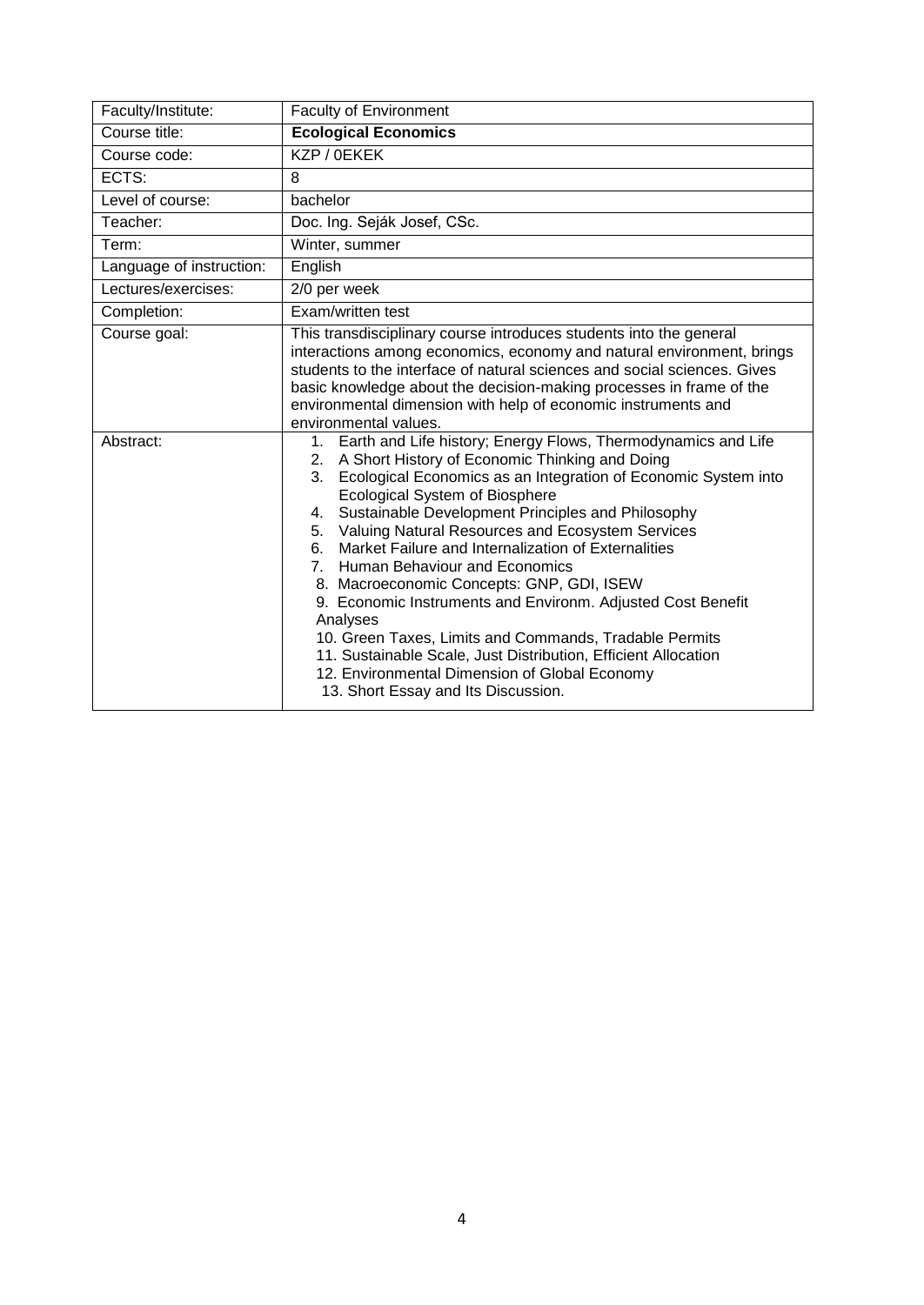<span id="page-3-0"></span>

| Faculty/Institute:       | <b>Faculty of Environment</b>                                                                                                                                                                                                                                                                                                                                                                                                                                                                                                                                                                                                                                                                                                                                                                                          |
|--------------------------|------------------------------------------------------------------------------------------------------------------------------------------------------------------------------------------------------------------------------------------------------------------------------------------------------------------------------------------------------------------------------------------------------------------------------------------------------------------------------------------------------------------------------------------------------------------------------------------------------------------------------------------------------------------------------------------------------------------------------------------------------------------------------------------------------------------------|
| Course title:            | <b>Ecological Economics</b>                                                                                                                                                                                                                                                                                                                                                                                                                                                                                                                                                                                                                                                                                                                                                                                            |
| Course code:             | KZP / 0EKEK                                                                                                                                                                                                                                                                                                                                                                                                                                                                                                                                                                                                                                                                                                                                                                                                            |
| ECTS:                    | 8                                                                                                                                                                                                                                                                                                                                                                                                                                                                                                                                                                                                                                                                                                                                                                                                                      |
| Level of course:         | bachelor                                                                                                                                                                                                                                                                                                                                                                                                                                                                                                                                                                                                                                                                                                                                                                                                               |
| Teacher:                 | Doc. Ing. Seják Josef, CSc.                                                                                                                                                                                                                                                                                                                                                                                                                                                                                                                                                                                                                                                                                                                                                                                            |
| Term:                    | Winter, summer                                                                                                                                                                                                                                                                                                                                                                                                                                                                                                                                                                                                                                                                                                                                                                                                         |
| Language of instruction: | English                                                                                                                                                                                                                                                                                                                                                                                                                                                                                                                                                                                                                                                                                                                                                                                                                |
| Lectures/exercises:      | 2/0 per week                                                                                                                                                                                                                                                                                                                                                                                                                                                                                                                                                                                                                                                                                                                                                                                                           |
| Completion:              | Exam/written test                                                                                                                                                                                                                                                                                                                                                                                                                                                                                                                                                                                                                                                                                                                                                                                                      |
| Course goal:             | This transdisciplinary course introduces students into the general<br>interactions among economics, economy and natural environment, brings<br>students to the interface of natural sciences and social sciences. Gives<br>basic knowledge about the decision-making processes in frame of the<br>environmental dimension with help of economic instruments and<br>environmental values.                                                                                                                                                                                                                                                                                                                                                                                                                               |
| Abstract:                | Earth and Life history; Energy Flows, Thermodynamics and Life<br>1.<br>A Short History of Economic Thinking and Doing<br>2.<br>Ecological Economics as an Integration of Economic System into<br>3.<br>Ecological System of Biosphere<br>Sustainable Development Principles and Philosophy<br>4.<br>Valuing Natural Resources and Ecosystem Services<br>5.<br>Market Failure and Internalization of Externalities<br>6.<br>Human Behaviour and Economics<br>7 <sup>1</sup><br>8. Macroeconomic Concepts: GNP, GDI, ISEW<br>9. Economic Instruments and Environm. Adjusted Cost Benefit<br>Analyses<br>10. Green Taxes, Limits and Commands, Tradable Permits<br>11. Sustainable Scale, Just Distribution, Efficient Allocation<br>12. Environmental Dimension of Global Economy<br>13. Short Essay and Its Discussion. |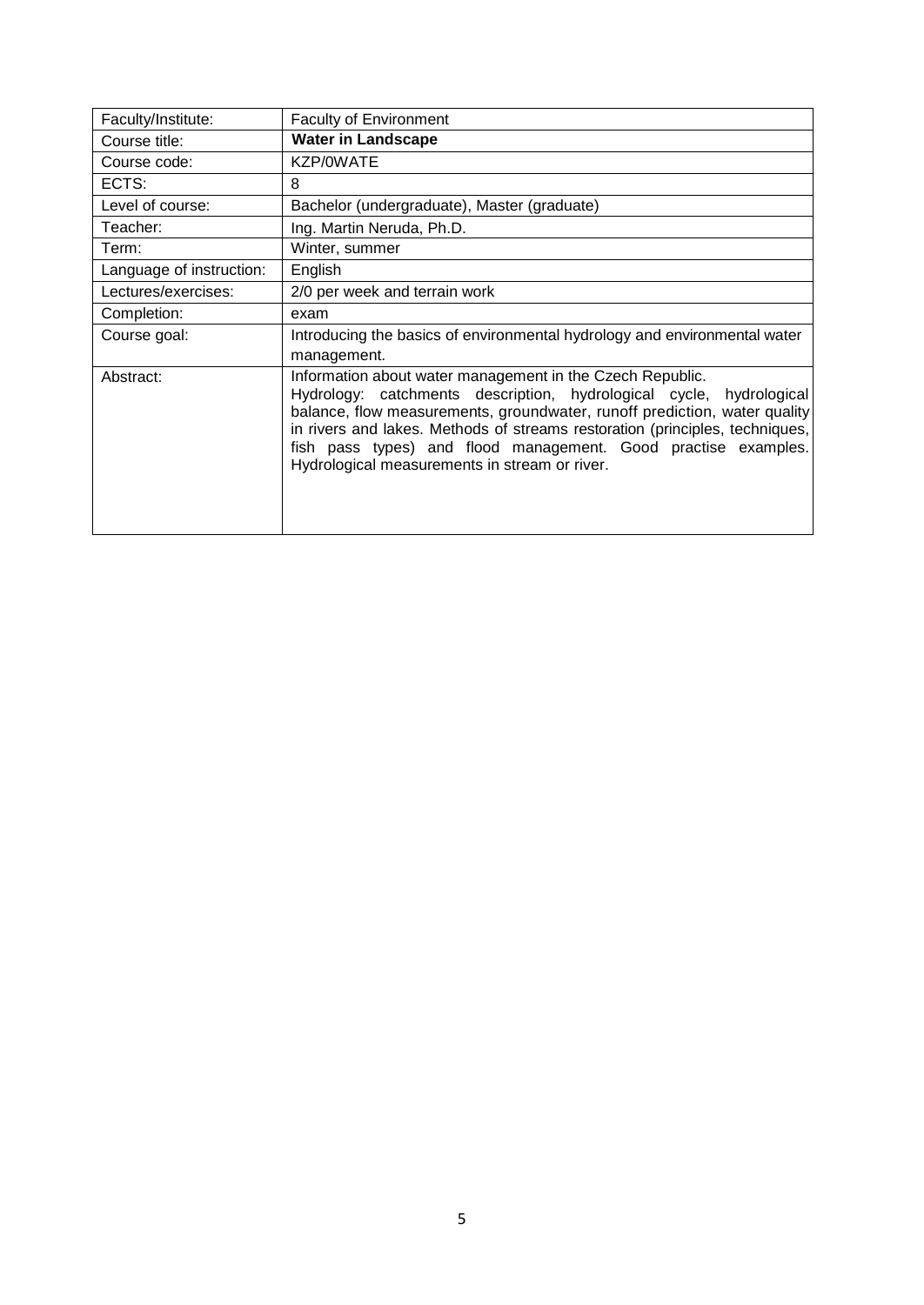<span id="page-4-0"></span>

| Faculty/Institute:       | <b>Faculty of Environment</b>                                                                                                                                                                                                                                                                                                                                                                                       |
|--------------------------|---------------------------------------------------------------------------------------------------------------------------------------------------------------------------------------------------------------------------------------------------------------------------------------------------------------------------------------------------------------------------------------------------------------------|
| Course title:            | <b>Water in Landscape</b>                                                                                                                                                                                                                                                                                                                                                                                           |
| Course code:             | KZP/0WATE                                                                                                                                                                                                                                                                                                                                                                                                           |
| ECTS:                    | 8                                                                                                                                                                                                                                                                                                                                                                                                                   |
| Level of course:         | Bachelor (undergraduate), Master (graduate)                                                                                                                                                                                                                                                                                                                                                                         |
| Teacher:                 | Ing. Martin Neruda, Ph.D.                                                                                                                                                                                                                                                                                                                                                                                           |
| Term:                    | Winter, summer                                                                                                                                                                                                                                                                                                                                                                                                      |
| Language of instruction: | English                                                                                                                                                                                                                                                                                                                                                                                                             |
| Lectures/exercises:      | 2/0 per week and terrain work                                                                                                                                                                                                                                                                                                                                                                                       |
| Completion:              | exam                                                                                                                                                                                                                                                                                                                                                                                                                |
| Course goal:             | Introducing the basics of environmental hydrology and environmental water                                                                                                                                                                                                                                                                                                                                           |
|                          | management.                                                                                                                                                                                                                                                                                                                                                                                                         |
| Abstract:                | Information about water management in the Czech Republic.<br>Hydrology: catchments description, hydrological cycle,<br>hydrological<br>balance, flow measurements, groundwater, runoff prediction, water quality<br>in rivers and lakes. Methods of streams restoration (principles, techniques,<br>fish pass types) and flood management. Good practise examples.<br>Hydrological measurements in stream or river. |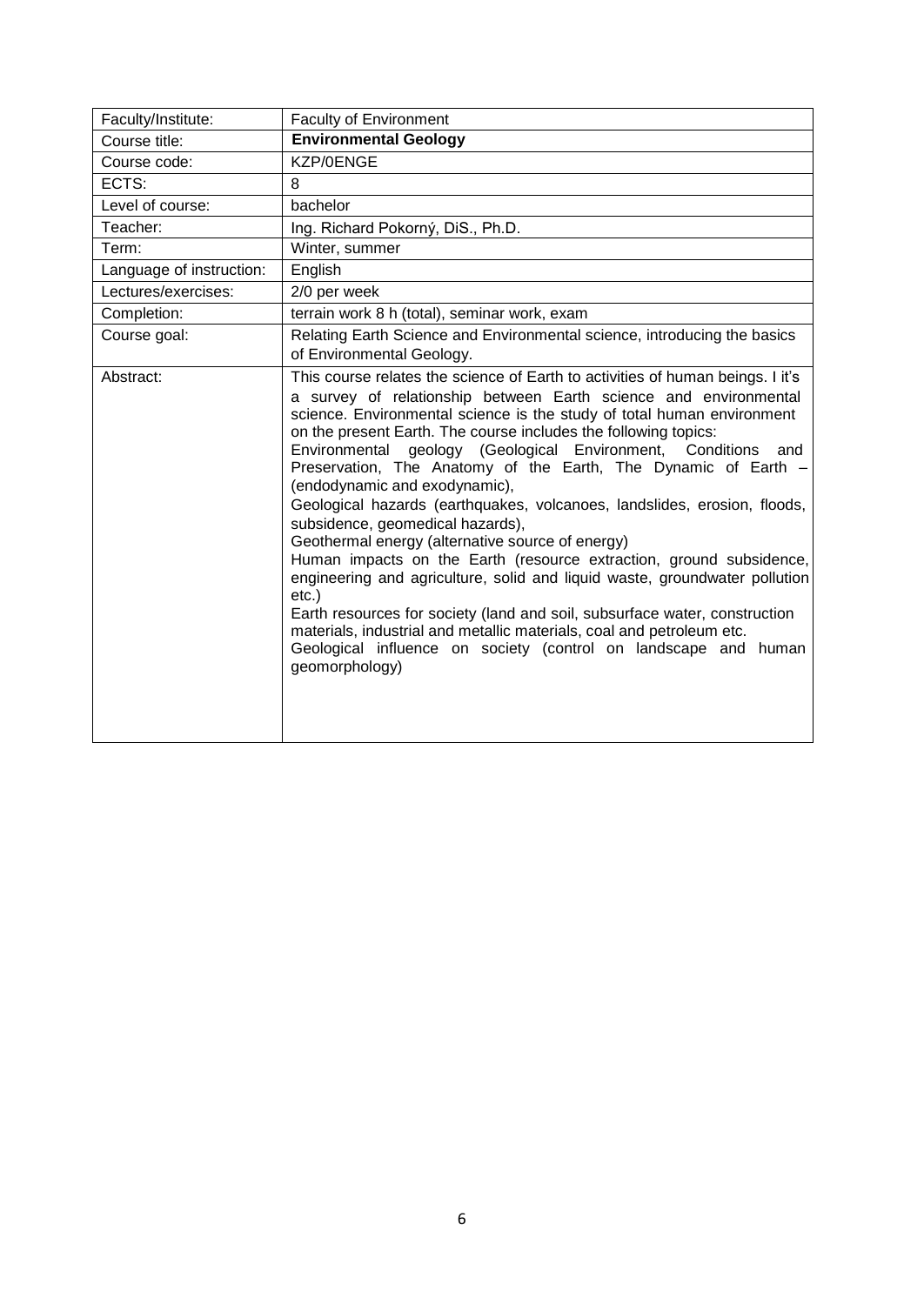<span id="page-5-0"></span>

| Faculty/Institute:       | <b>Faculty of Environment</b>                                                                                                                                                                                                                                                                                                                                                                                                                                                                                                                                                                                                                                                                                                                                                                                                                                                                                                                                                                                                                                 |
|--------------------------|---------------------------------------------------------------------------------------------------------------------------------------------------------------------------------------------------------------------------------------------------------------------------------------------------------------------------------------------------------------------------------------------------------------------------------------------------------------------------------------------------------------------------------------------------------------------------------------------------------------------------------------------------------------------------------------------------------------------------------------------------------------------------------------------------------------------------------------------------------------------------------------------------------------------------------------------------------------------------------------------------------------------------------------------------------------|
| Course title:            | <b>Environmental Geology</b>                                                                                                                                                                                                                                                                                                                                                                                                                                                                                                                                                                                                                                                                                                                                                                                                                                                                                                                                                                                                                                  |
| Course code:             | KZP/0ENGE                                                                                                                                                                                                                                                                                                                                                                                                                                                                                                                                                                                                                                                                                                                                                                                                                                                                                                                                                                                                                                                     |
| ECTS:                    | 8                                                                                                                                                                                                                                                                                                                                                                                                                                                                                                                                                                                                                                                                                                                                                                                                                                                                                                                                                                                                                                                             |
| Level of course:         | bachelor                                                                                                                                                                                                                                                                                                                                                                                                                                                                                                                                                                                                                                                                                                                                                                                                                                                                                                                                                                                                                                                      |
| Teacher:                 | Ing. Richard Pokorný, DiS., Ph.D.                                                                                                                                                                                                                                                                                                                                                                                                                                                                                                                                                                                                                                                                                                                                                                                                                                                                                                                                                                                                                             |
| Term:                    | Winter, summer                                                                                                                                                                                                                                                                                                                                                                                                                                                                                                                                                                                                                                                                                                                                                                                                                                                                                                                                                                                                                                                |
| Language of instruction: | English                                                                                                                                                                                                                                                                                                                                                                                                                                                                                                                                                                                                                                                                                                                                                                                                                                                                                                                                                                                                                                                       |
| Lectures/exercises:      | 2/0 per week                                                                                                                                                                                                                                                                                                                                                                                                                                                                                                                                                                                                                                                                                                                                                                                                                                                                                                                                                                                                                                                  |
| Completion:              | terrain work 8 h (total), seminar work, exam                                                                                                                                                                                                                                                                                                                                                                                                                                                                                                                                                                                                                                                                                                                                                                                                                                                                                                                                                                                                                  |
| Course goal:             | Relating Earth Science and Environmental science, introducing the basics<br>of Environmental Geology.                                                                                                                                                                                                                                                                                                                                                                                                                                                                                                                                                                                                                                                                                                                                                                                                                                                                                                                                                         |
| Abstract:                | This course relates the science of Earth to activities of human beings. I it's<br>a survey of relationship between Earth science and environmental<br>science. Environmental science is the study of total human environment<br>on the present Earth. The course includes the following topics:<br>geology (Geological Environment,<br>Environmental<br>Conditions<br>and<br>Preservation, The Anatomy of the Earth, The Dynamic of Earth -<br>(endodynamic and exodynamic),<br>Geological hazards (earthquakes, volcanoes, landslides, erosion, floods,<br>subsidence, geomedical hazards),<br>Geothermal energy (alternative source of energy)<br>Human impacts on the Earth (resource extraction, ground subsidence,<br>engineering and agriculture, solid and liquid waste, groundwater pollution<br>$etc.$ )<br>Earth resources for society (land and soil, subsurface water, construction<br>materials, industrial and metallic materials, coal and petroleum etc.<br>Geological influence on society (control on landscape and human<br>geomorphology) |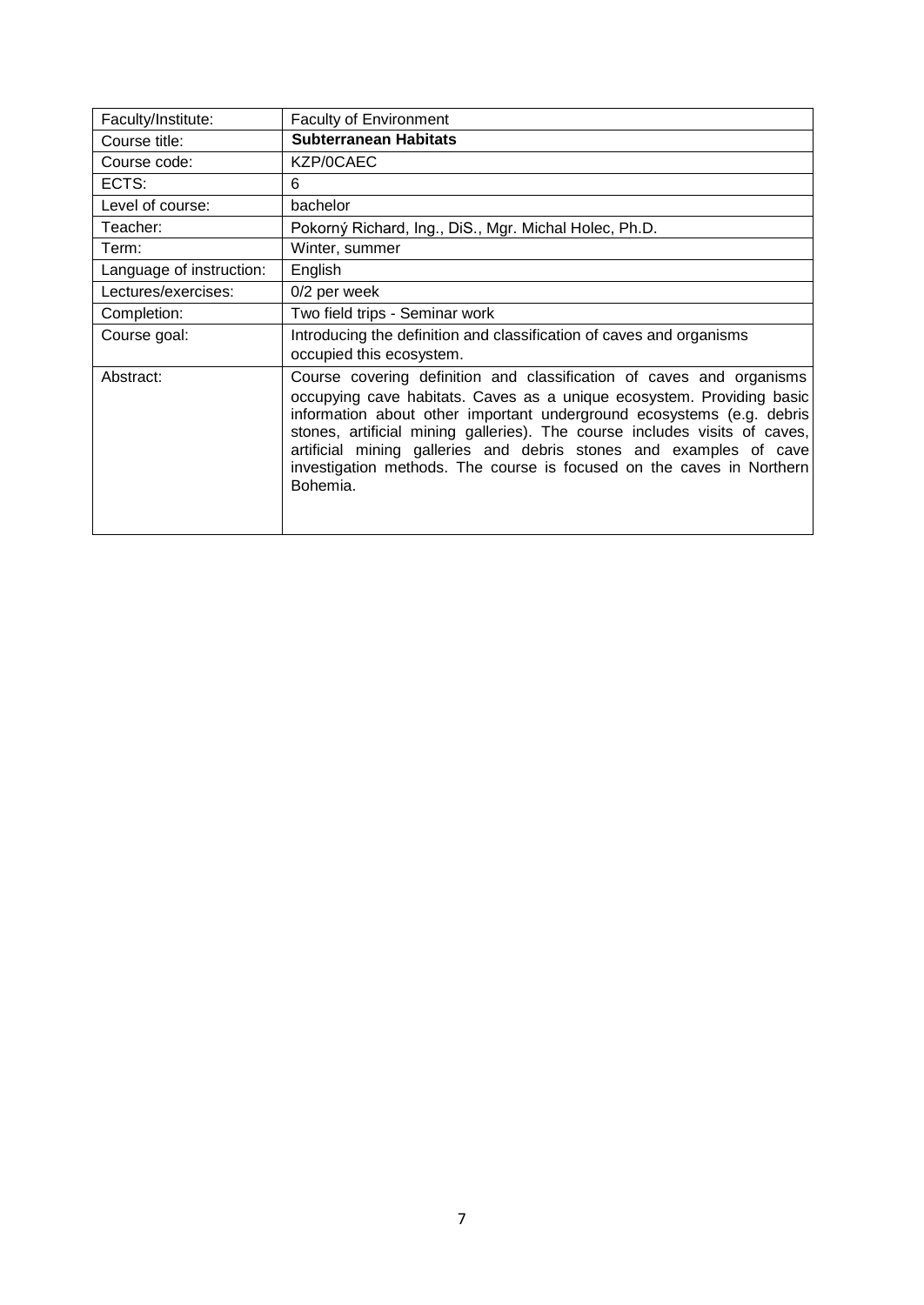<span id="page-6-0"></span>

| Faculty/Institute:       | Faculty of Environment                                                                                                                                                                                                                                                                                                                                                                                                                                          |
|--------------------------|-----------------------------------------------------------------------------------------------------------------------------------------------------------------------------------------------------------------------------------------------------------------------------------------------------------------------------------------------------------------------------------------------------------------------------------------------------------------|
| Course title:            | <b>Subterranean Habitats</b>                                                                                                                                                                                                                                                                                                                                                                                                                                    |
| Course code:             | KZP/0CAEC                                                                                                                                                                                                                                                                                                                                                                                                                                                       |
| ECTS:                    | 6                                                                                                                                                                                                                                                                                                                                                                                                                                                               |
| Level of course:         | bachelor                                                                                                                                                                                                                                                                                                                                                                                                                                                        |
| Teacher:                 | Pokorný Richard, Ing., DiS., Mgr. Michal Holec, Ph.D.                                                                                                                                                                                                                                                                                                                                                                                                           |
| Term:                    | Winter, summer                                                                                                                                                                                                                                                                                                                                                                                                                                                  |
| Language of instruction: | English                                                                                                                                                                                                                                                                                                                                                                                                                                                         |
| Lectures/exercises:      | 0/2 per week                                                                                                                                                                                                                                                                                                                                                                                                                                                    |
| Completion:              | Two field trips - Seminar work                                                                                                                                                                                                                                                                                                                                                                                                                                  |
| Course goal:             | Introducing the definition and classification of caves and organisms<br>occupied this ecosystem.                                                                                                                                                                                                                                                                                                                                                                |
| Abstract:                | Course covering definition and classification of caves and organisms<br>occupying cave habitats. Caves as a unique ecosystem. Providing basic<br>information about other important underground ecosystems (e.g. debris<br>stones, artificial mining galleries). The course includes visits of caves,<br>artificial mining galleries and debris stones and examples of cave<br>investigation methods. The course is focused on the caves in Northern<br>Bohemia. |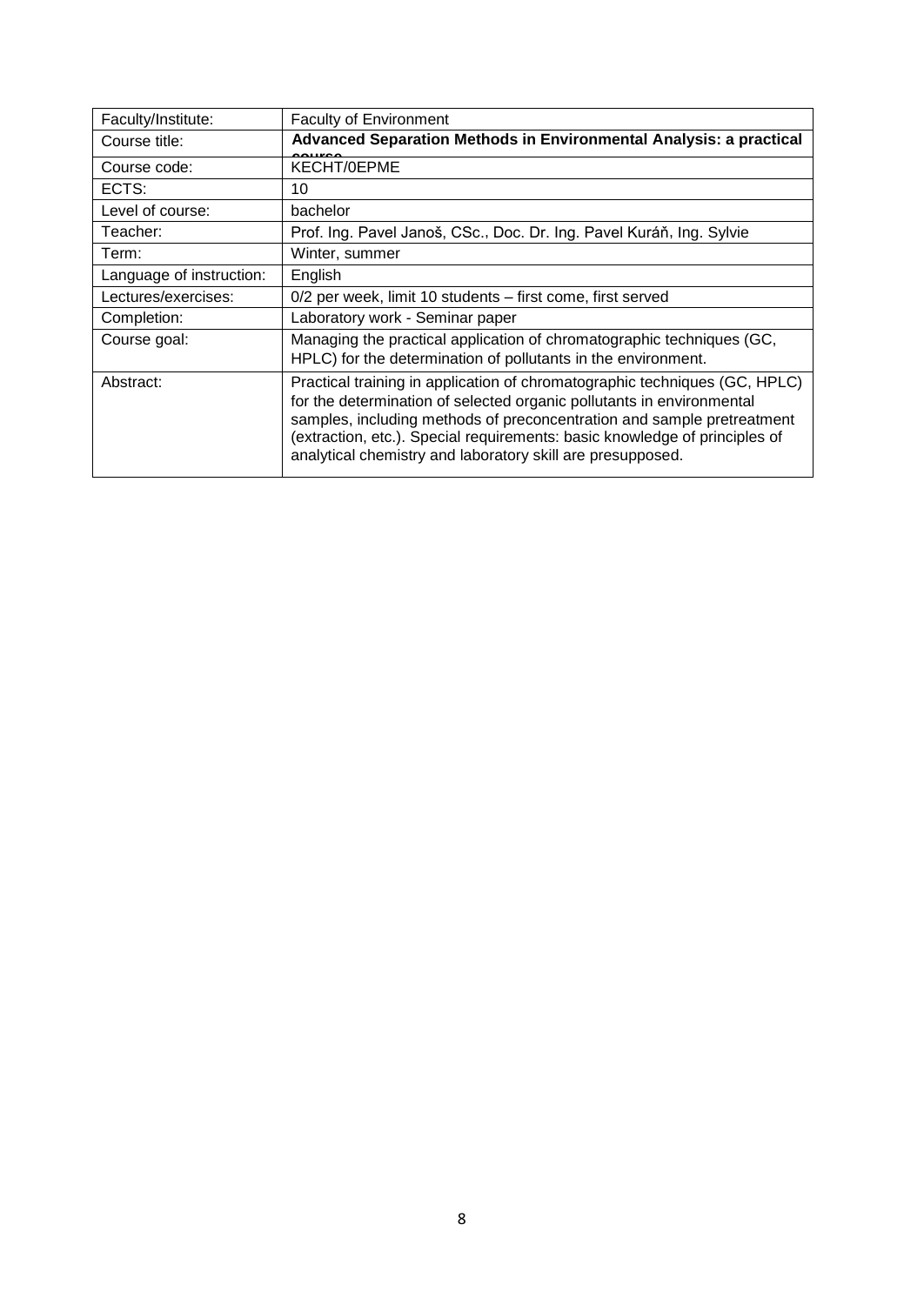<span id="page-7-0"></span>

| Faculty/Institute:       | <b>Faculty of Environment</b>                                                                                                                                                                                                                                                                                                                                             |
|--------------------------|---------------------------------------------------------------------------------------------------------------------------------------------------------------------------------------------------------------------------------------------------------------------------------------------------------------------------------------------------------------------------|
| Course title:            | Advanced Separation Methods in Environmental Analysis: a practical                                                                                                                                                                                                                                                                                                        |
| Course code:             | KECHT/0EPME                                                                                                                                                                                                                                                                                                                                                               |
| ECTS:                    | 10                                                                                                                                                                                                                                                                                                                                                                        |
| Level of course:         | bachelor                                                                                                                                                                                                                                                                                                                                                                  |
| Teacher:                 | Prof. Ing. Pavel Janoš, CSc., Doc. Dr. Ing. Pavel Kuráň, Ing. Sylvie                                                                                                                                                                                                                                                                                                      |
| Term:                    | Winter, summer                                                                                                                                                                                                                                                                                                                                                            |
| Language of instruction: | English                                                                                                                                                                                                                                                                                                                                                                   |
| Lectures/exercises:      | 0/2 per week, limit 10 students – first come, first served                                                                                                                                                                                                                                                                                                                |
| Completion:              | Laboratory work - Seminar paper                                                                                                                                                                                                                                                                                                                                           |
| Course goal:             | Managing the practical application of chromatographic techniques (GC,<br>HPLC) for the determination of pollutants in the environment.                                                                                                                                                                                                                                    |
| Abstract:                | Practical training in application of chromatographic techniques (GC, HPLC)<br>for the determination of selected organic pollutants in environmental<br>samples, including methods of preconcentration and sample pretreatment<br>(extraction, etc.). Special requirements: basic knowledge of principles of<br>analytical chemistry and laboratory skill are presupposed. |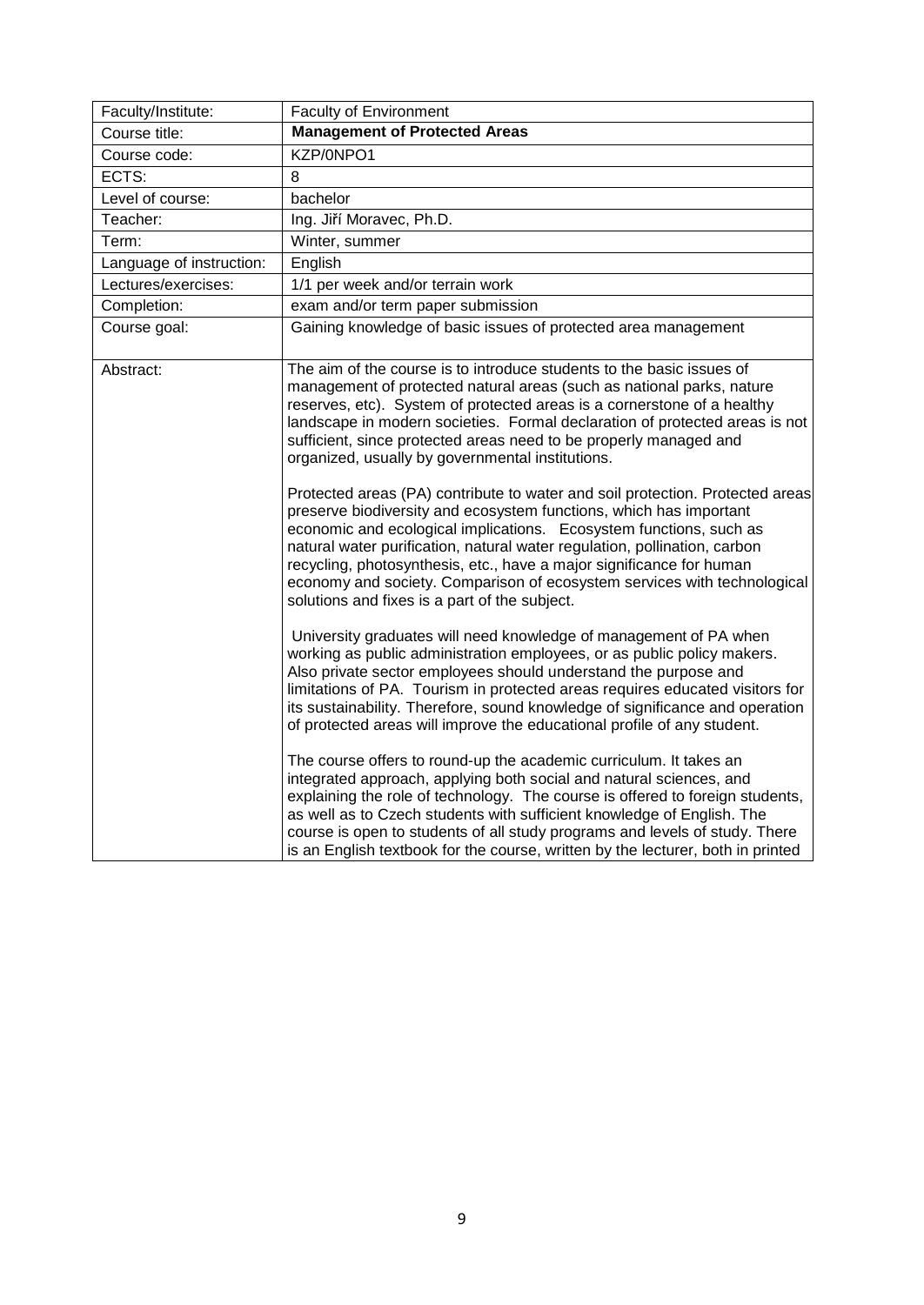<span id="page-8-0"></span>

| Faculty/Institute:       | Faculty of Environment                                                                                                                                                                                                                                                                                                                                                                                                                                                                                      |
|--------------------------|-------------------------------------------------------------------------------------------------------------------------------------------------------------------------------------------------------------------------------------------------------------------------------------------------------------------------------------------------------------------------------------------------------------------------------------------------------------------------------------------------------------|
| Course title:            | <b>Management of Protected Areas</b>                                                                                                                                                                                                                                                                                                                                                                                                                                                                        |
| Course code:             | KZP/0NPO1                                                                                                                                                                                                                                                                                                                                                                                                                                                                                                   |
| ECTS:                    | 8                                                                                                                                                                                                                                                                                                                                                                                                                                                                                                           |
| Level of course:         | bachelor                                                                                                                                                                                                                                                                                                                                                                                                                                                                                                    |
| Teacher:                 | Ing. Jiří Moravec, Ph.D.                                                                                                                                                                                                                                                                                                                                                                                                                                                                                    |
| Term:                    | Winter, summer                                                                                                                                                                                                                                                                                                                                                                                                                                                                                              |
| Language of instruction: | English                                                                                                                                                                                                                                                                                                                                                                                                                                                                                                     |
| Lectures/exercises:      | 1/1 per week and/or terrain work                                                                                                                                                                                                                                                                                                                                                                                                                                                                            |
| Completion:              | exam and/or term paper submission                                                                                                                                                                                                                                                                                                                                                                                                                                                                           |
| Course goal:             | Gaining knowledge of basic issues of protected area management                                                                                                                                                                                                                                                                                                                                                                                                                                              |
| Abstract:                | The aim of the course is to introduce students to the basic issues of<br>management of protected natural areas (such as national parks, nature<br>reserves, etc). System of protected areas is a cornerstone of a healthy<br>landscape in modern societies. Formal declaration of protected areas is not<br>sufficient, since protected areas need to be properly managed and<br>organized, usually by governmental institutions.                                                                           |
|                          | Protected areas (PA) contribute to water and soil protection. Protected areas<br>preserve biodiversity and ecosystem functions, which has important<br>economic and ecological implications. Ecosystem functions, such as<br>natural water purification, natural water regulation, pollination, carbon<br>recycling, photosynthesis, etc., have a major significance for human<br>economy and society. Comparison of ecosystem services with technological<br>solutions and fixes is a part of the subject. |
|                          | University graduates will need knowledge of management of PA when<br>working as public administration employees, or as public policy makers.<br>Also private sector employees should understand the purpose and<br>limitations of PA. Tourism in protected areas requires educated visitors for<br>its sustainability. Therefore, sound knowledge of significance and operation<br>of protected areas will improve the educational profile of any student.                                                  |
|                          | The course offers to round-up the academic curriculum. It takes an<br>integrated approach, applying both social and natural sciences, and<br>explaining the role of technology. The course is offered to foreign students,<br>as well as to Czech students with sufficient knowledge of English. The<br>course is open to students of all study programs and levels of study. There<br>is an English textbook for the course, written by the lecturer, both in printed                                      |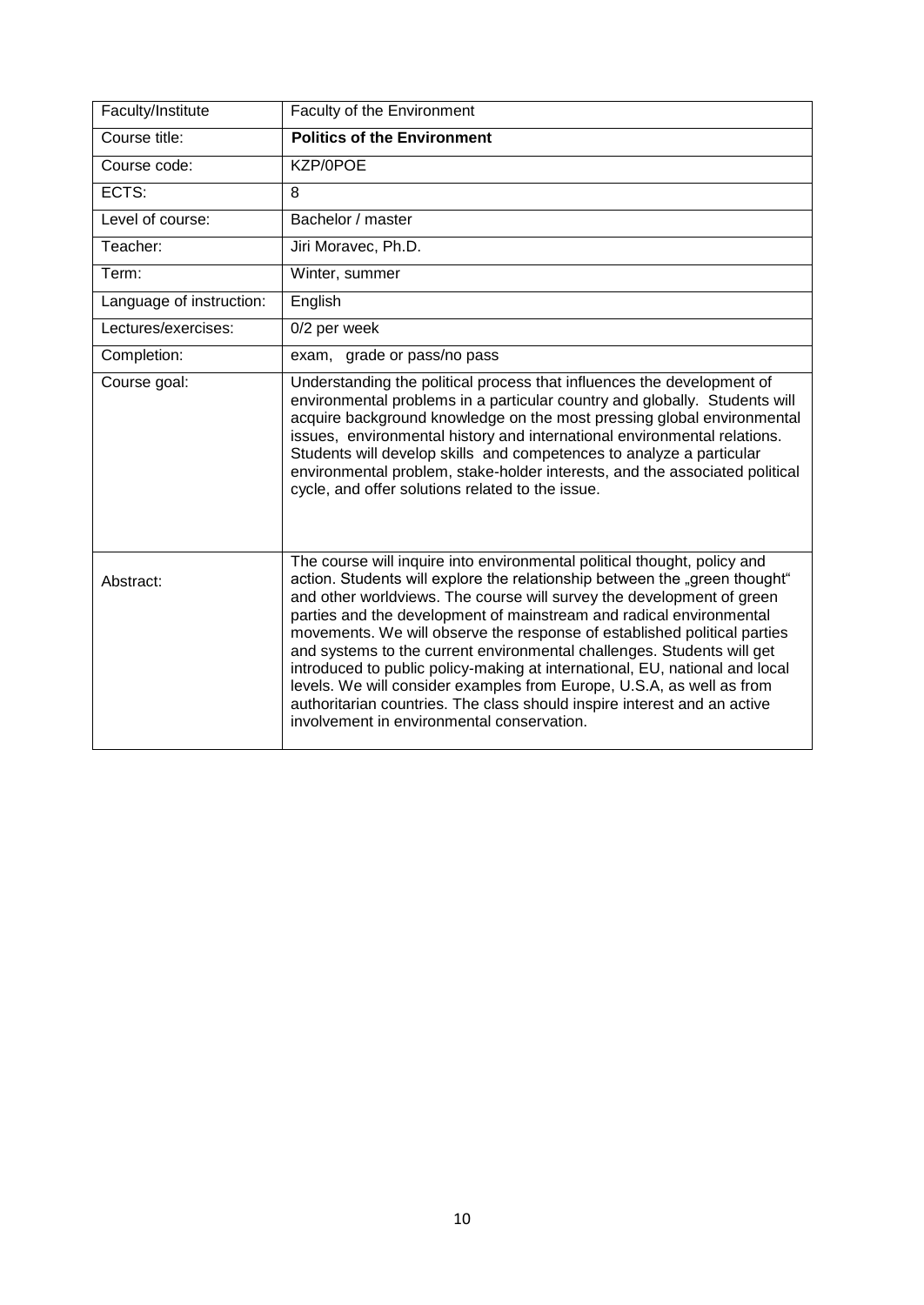<span id="page-9-0"></span>

| Faculty/Institute        | Faculty of the Environment                                                                                                                                                                                                                                                                                                                                                                                                                                                                                                                                                                                                                                                                                                                     |
|--------------------------|------------------------------------------------------------------------------------------------------------------------------------------------------------------------------------------------------------------------------------------------------------------------------------------------------------------------------------------------------------------------------------------------------------------------------------------------------------------------------------------------------------------------------------------------------------------------------------------------------------------------------------------------------------------------------------------------------------------------------------------------|
| Course title:            | <b>Politics of the Environment</b>                                                                                                                                                                                                                                                                                                                                                                                                                                                                                                                                                                                                                                                                                                             |
| Course code:             | KZP/0POE                                                                                                                                                                                                                                                                                                                                                                                                                                                                                                                                                                                                                                                                                                                                       |
| ECTS:                    | 8                                                                                                                                                                                                                                                                                                                                                                                                                                                                                                                                                                                                                                                                                                                                              |
| Level of course:         | Bachelor / master                                                                                                                                                                                                                                                                                                                                                                                                                                                                                                                                                                                                                                                                                                                              |
| Teacher:                 | Jiri Moravec, Ph.D.                                                                                                                                                                                                                                                                                                                                                                                                                                                                                                                                                                                                                                                                                                                            |
| Term:                    | Winter, summer                                                                                                                                                                                                                                                                                                                                                                                                                                                                                                                                                                                                                                                                                                                                 |
| Language of instruction: | English                                                                                                                                                                                                                                                                                                                                                                                                                                                                                                                                                                                                                                                                                                                                        |
| Lectures/exercises:      | 0/2 per week                                                                                                                                                                                                                                                                                                                                                                                                                                                                                                                                                                                                                                                                                                                                   |
| Completion:              | exam, grade or pass/no pass                                                                                                                                                                                                                                                                                                                                                                                                                                                                                                                                                                                                                                                                                                                    |
| Course goal:             | Understanding the political process that influences the development of<br>environmental problems in a particular country and globally. Students will<br>acquire background knowledge on the most pressing global environmental<br>issues, environmental history and international environmental relations.<br>Students will develop skills and competences to analyze a particular<br>environmental problem, stake-holder interests, and the associated political<br>cycle, and offer solutions related to the issue.                                                                                                                                                                                                                          |
| Abstract:                | The course will inquire into environmental political thought, policy and<br>action. Students will explore the relationship between the "green thought"<br>and other worldviews. The course will survey the development of green<br>parties and the development of mainstream and radical environmental<br>movements. We will observe the response of established political parties<br>and systems to the current environmental challenges. Students will get<br>introduced to public policy-making at international, EU, national and local<br>levels. We will consider examples from Europe, U.S.A, as well as from<br>authoritarian countries. The class should inspire interest and an active<br>involvement in environmental conservation. |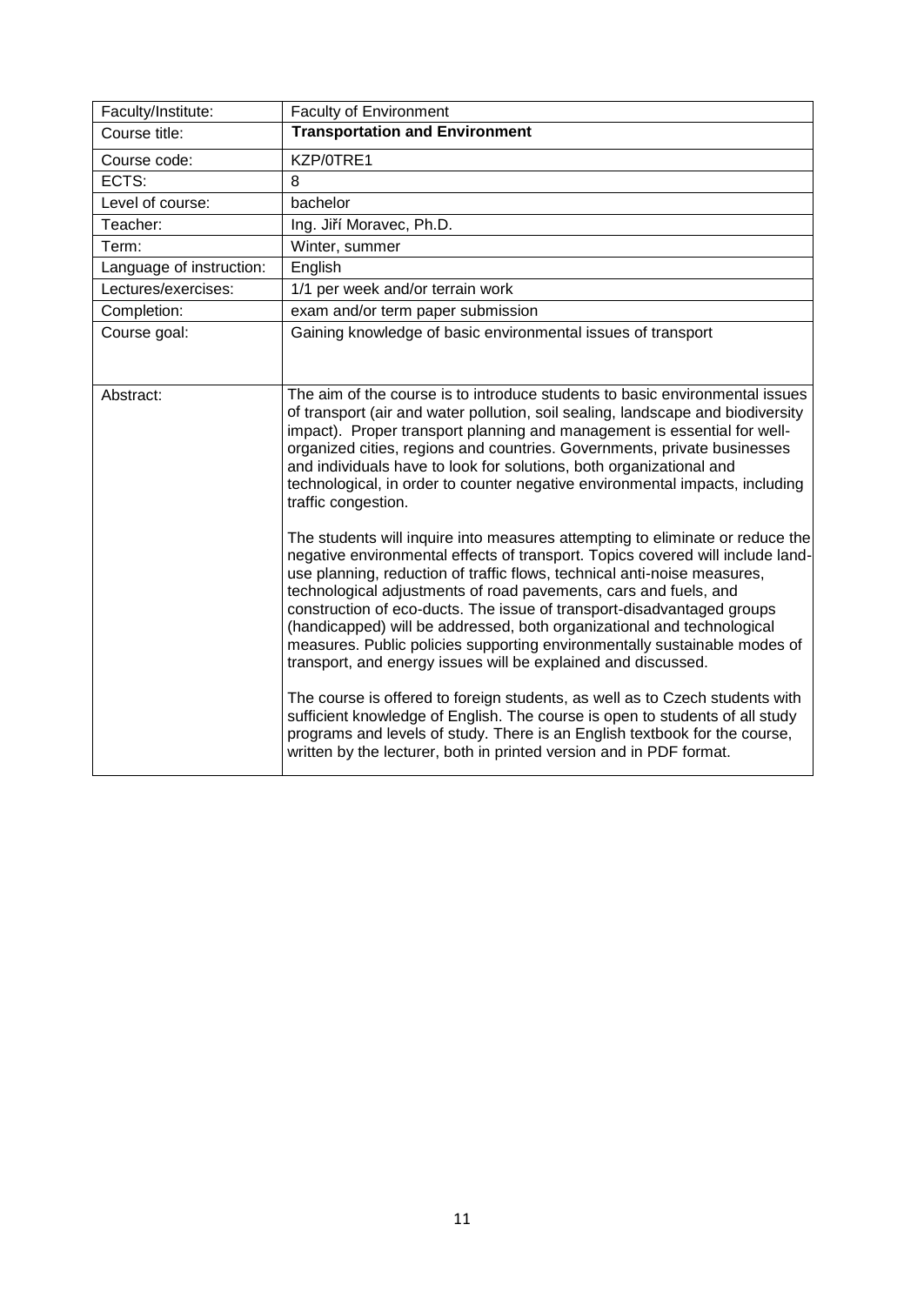<span id="page-10-0"></span>

| Faculty/Institute:       | <b>Faculty of Environment</b>                                                                                                                                                                                                                                                                                                                                                                                                                                                                                                                                                                                     |
|--------------------------|-------------------------------------------------------------------------------------------------------------------------------------------------------------------------------------------------------------------------------------------------------------------------------------------------------------------------------------------------------------------------------------------------------------------------------------------------------------------------------------------------------------------------------------------------------------------------------------------------------------------|
| Course title:            | <b>Transportation and Environment</b>                                                                                                                                                                                                                                                                                                                                                                                                                                                                                                                                                                             |
| Course code:             | KZP/0TRE1                                                                                                                                                                                                                                                                                                                                                                                                                                                                                                                                                                                                         |
| ECTS:                    | 8                                                                                                                                                                                                                                                                                                                                                                                                                                                                                                                                                                                                                 |
| Level of course:         | bachelor                                                                                                                                                                                                                                                                                                                                                                                                                                                                                                                                                                                                          |
| Teacher:                 | Ing. Jiří Moravec, Ph.D.                                                                                                                                                                                                                                                                                                                                                                                                                                                                                                                                                                                          |
| Term:                    | Winter, summer                                                                                                                                                                                                                                                                                                                                                                                                                                                                                                                                                                                                    |
| Language of instruction: | English                                                                                                                                                                                                                                                                                                                                                                                                                                                                                                                                                                                                           |
| Lectures/exercises:      | 1/1 per week and/or terrain work                                                                                                                                                                                                                                                                                                                                                                                                                                                                                                                                                                                  |
| Completion:              | exam and/or term paper submission                                                                                                                                                                                                                                                                                                                                                                                                                                                                                                                                                                                 |
| Course goal:             | Gaining knowledge of basic environmental issues of transport                                                                                                                                                                                                                                                                                                                                                                                                                                                                                                                                                      |
|                          |                                                                                                                                                                                                                                                                                                                                                                                                                                                                                                                                                                                                                   |
| Abstract:                | The aim of the course is to introduce students to basic environmental issues<br>of transport (air and water pollution, soil sealing, landscape and biodiversity<br>impact). Proper transport planning and management is essential for well-<br>organized cities, regions and countries. Governments, private businesses<br>and individuals have to look for solutions, both organizational and<br>technological, in order to counter negative environmental impacts, including<br>traffic congestion.                                                                                                             |
|                          | The students will inquire into measures attempting to eliminate or reduce the<br>negative environmental effects of transport. Topics covered will include land-<br>use planning, reduction of traffic flows, technical anti-noise measures,<br>technological adjustments of road pavements, cars and fuels, and<br>construction of eco-ducts. The issue of transport-disadvantaged groups<br>(handicapped) will be addressed, both organizational and technological<br>measures. Public policies supporting environmentally sustainable modes of<br>transport, and energy issues will be explained and discussed. |
|                          | The course is offered to foreign students, as well as to Czech students with<br>sufficient knowledge of English. The course is open to students of all study<br>programs and levels of study. There is an English textbook for the course,<br>written by the lecturer, both in printed version and in PDF format.                                                                                                                                                                                                                                                                                                 |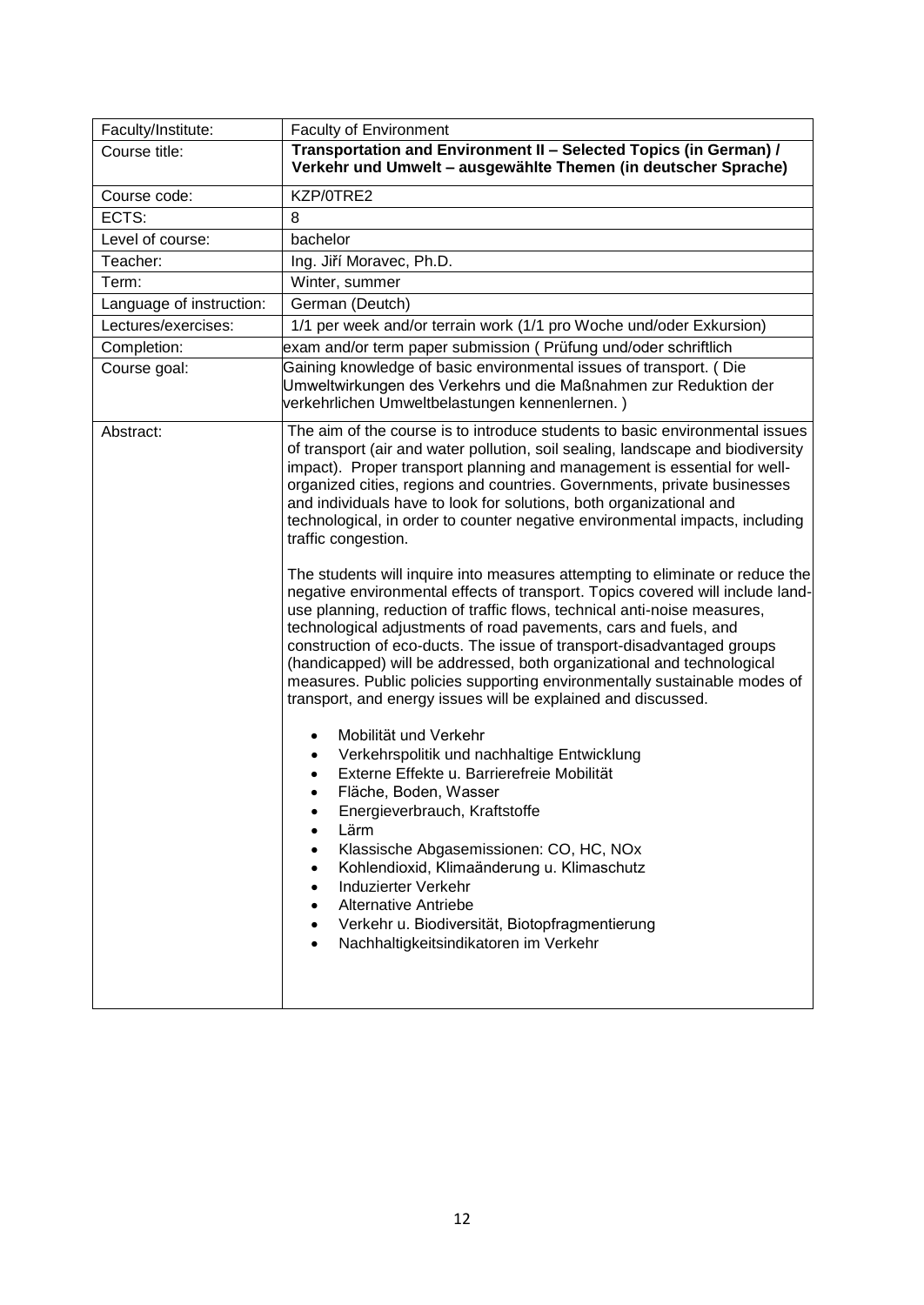<span id="page-11-0"></span>

| Faculty/Institute:       | <b>Faculty of Environment</b>                                                                                                                                                                                                                                                                                                                                                                                                                                                                                                                                                                                                                                                                                                                                                                                                                                                                                                                                                                                                                                                                                                                                                                                                                                                                                                                                                                                                                                                                                                                                                                                                                             |
|--------------------------|-----------------------------------------------------------------------------------------------------------------------------------------------------------------------------------------------------------------------------------------------------------------------------------------------------------------------------------------------------------------------------------------------------------------------------------------------------------------------------------------------------------------------------------------------------------------------------------------------------------------------------------------------------------------------------------------------------------------------------------------------------------------------------------------------------------------------------------------------------------------------------------------------------------------------------------------------------------------------------------------------------------------------------------------------------------------------------------------------------------------------------------------------------------------------------------------------------------------------------------------------------------------------------------------------------------------------------------------------------------------------------------------------------------------------------------------------------------------------------------------------------------------------------------------------------------------------------------------------------------------------------------------------------------|
| Course title:            | Transportation and Environment II - Selected Topics (in German) /<br>Verkehr und Umwelt - ausgewählte Themen (in deutscher Sprache)                                                                                                                                                                                                                                                                                                                                                                                                                                                                                                                                                                                                                                                                                                                                                                                                                                                                                                                                                                                                                                                                                                                                                                                                                                                                                                                                                                                                                                                                                                                       |
| Course code:             | KZP/0TRE2                                                                                                                                                                                                                                                                                                                                                                                                                                                                                                                                                                                                                                                                                                                                                                                                                                                                                                                                                                                                                                                                                                                                                                                                                                                                                                                                                                                                                                                                                                                                                                                                                                                 |
| ECTS:                    | 8                                                                                                                                                                                                                                                                                                                                                                                                                                                                                                                                                                                                                                                                                                                                                                                                                                                                                                                                                                                                                                                                                                                                                                                                                                                                                                                                                                                                                                                                                                                                                                                                                                                         |
| Level of course:         | bachelor                                                                                                                                                                                                                                                                                                                                                                                                                                                                                                                                                                                                                                                                                                                                                                                                                                                                                                                                                                                                                                                                                                                                                                                                                                                                                                                                                                                                                                                                                                                                                                                                                                                  |
| Teacher:                 | Ing. Jiří Moravec, Ph.D.                                                                                                                                                                                                                                                                                                                                                                                                                                                                                                                                                                                                                                                                                                                                                                                                                                                                                                                                                                                                                                                                                                                                                                                                                                                                                                                                                                                                                                                                                                                                                                                                                                  |
| Term:                    | Winter, summer                                                                                                                                                                                                                                                                                                                                                                                                                                                                                                                                                                                                                                                                                                                                                                                                                                                                                                                                                                                                                                                                                                                                                                                                                                                                                                                                                                                                                                                                                                                                                                                                                                            |
| Language of instruction: | German (Deutch)                                                                                                                                                                                                                                                                                                                                                                                                                                                                                                                                                                                                                                                                                                                                                                                                                                                                                                                                                                                                                                                                                                                                                                                                                                                                                                                                                                                                                                                                                                                                                                                                                                           |
| Lectures/exercises:      | 1/1 per week and/or terrain work (1/1 pro Woche und/oder Exkursion)                                                                                                                                                                                                                                                                                                                                                                                                                                                                                                                                                                                                                                                                                                                                                                                                                                                                                                                                                                                                                                                                                                                                                                                                                                                                                                                                                                                                                                                                                                                                                                                       |
| Completion:              | exam and/or term paper submission (Prüfung und/oder schriftlich                                                                                                                                                                                                                                                                                                                                                                                                                                                                                                                                                                                                                                                                                                                                                                                                                                                                                                                                                                                                                                                                                                                                                                                                                                                                                                                                                                                                                                                                                                                                                                                           |
| Course goal:             | Gaining knowledge of basic environmental issues of transport. (Die<br>Umweltwirkungen des Verkehrs und die Maßnahmen zur Reduktion der<br>verkehrlichen Umweltbelastungen kennenlernen.)                                                                                                                                                                                                                                                                                                                                                                                                                                                                                                                                                                                                                                                                                                                                                                                                                                                                                                                                                                                                                                                                                                                                                                                                                                                                                                                                                                                                                                                                  |
| Abstract:                | The aim of the course is to introduce students to basic environmental issues<br>of transport (air and water pollution, soil sealing, landscape and biodiversity<br>impact). Proper transport planning and management is essential for well-<br>organized cities, regions and countries. Governments, private businesses<br>and individuals have to look for solutions, both organizational and<br>technological, in order to counter negative environmental impacts, including<br>traffic congestion.<br>The students will inquire into measures attempting to eliminate or reduce the<br>negative environmental effects of transport. Topics covered will include land-<br>use planning, reduction of traffic flows, technical anti-noise measures,<br>technological adjustments of road pavements, cars and fuels, and<br>construction of eco-ducts. The issue of transport-disadvantaged groups<br>(handicapped) will be addressed, both organizational and technological<br>measures. Public policies supporting environmentally sustainable modes of<br>transport, and energy issues will be explained and discussed.<br>Mobilität und Verkehr<br>٠<br>Verkehrspolitik und nachhaltige Entwicklung<br>Externe Effekte u. Barrierefreie Mobilität<br>$\bullet$<br>Fläche, Boden, Wasser<br>$\bullet$<br>Energieverbrauch, Kraftstoffe<br>Lärm<br>٠<br>Klassische Abgasemissionen: CO, HC, NOx<br>Kohlendioxid, Klimaänderung u. Klimaschutz<br>٠<br>Induzierter Verkehr<br>$\bullet$<br><b>Alternative Antriebe</b><br>$\bullet$<br>Verkehr u. Biodiversität, Biotopfragmentierung<br>$\bullet$<br>Nachhaltigkeitsindikatoren im Verkehr<br>$\bullet$ |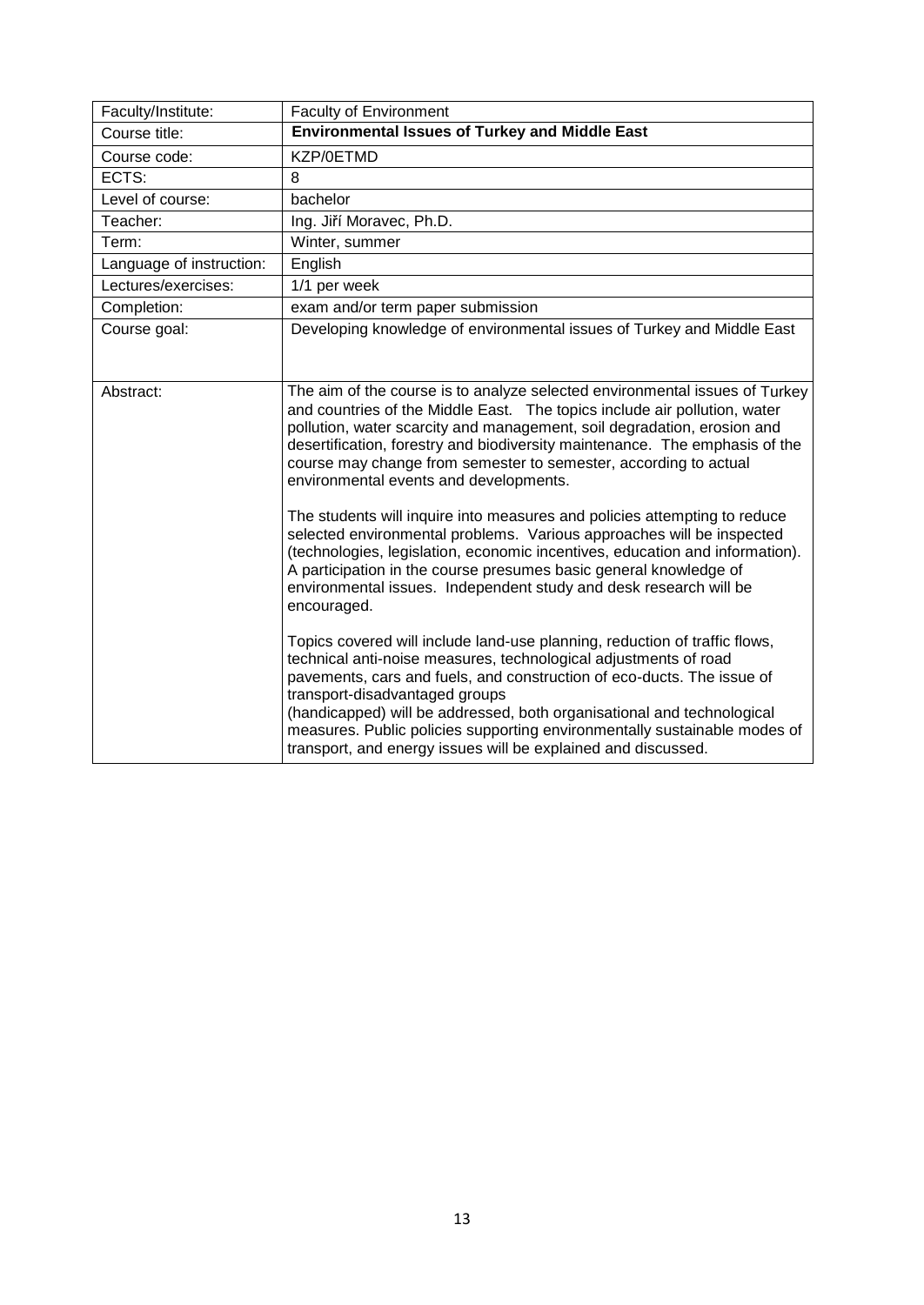<span id="page-12-0"></span>

| Faculty/Institute:       | <b>Faculty of Environment</b>                                                                                                                                                                                                                                                                                                                                                                                                                                                                                                                                                                                                                                                                                                                                                                                                   |
|--------------------------|---------------------------------------------------------------------------------------------------------------------------------------------------------------------------------------------------------------------------------------------------------------------------------------------------------------------------------------------------------------------------------------------------------------------------------------------------------------------------------------------------------------------------------------------------------------------------------------------------------------------------------------------------------------------------------------------------------------------------------------------------------------------------------------------------------------------------------|
| Course title:            | <b>Environmental Issues of Turkey and Middle East</b>                                                                                                                                                                                                                                                                                                                                                                                                                                                                                                                                                                                                                                                                                                                                                                           |
| Course code:             | KZP/0ETMD                                                                                                                                                                                                                                                                                                                                                                                                                                                                                                                                                                                                                                                                                                                                                                                                                       |
| ECTS:                    | 8                                                                                                                                                                                                                                                                                                                                                                                                                                                                                                                                                                                                                                                                                                                                                                                                                               |
| Level of course:         | bachelor                                                                                                                                                                                                                                                                                                                                                                                                                                                                                                                                                                                                                                                                                                                                                                                                                        |
| Teacher:                 | Ing. Jiří Moravec, Ph.D.                                                                                                                                                                                                                                                                                                                                                                                                                                                                                                                                                                                                                                                                                                                                                                                                        |
| Term:                    | Winter, summer                                                                                                                                                                                                                                                                                                                                                                                                                                                                                                                                                                                                                                                                                                                                                                                                                  |
| Language of instruction: | English                                                                                                                                                                                                                                                                                                                                                                                                                                                                                                                                                                                                                                                                                                                                                                                                                         |
| Lectures/exercises:      | 1/1 per week                                                                                                                                                                                                                                                                                                                                                                                                                                                                                                                                                                                                                                                                                                                                                                                                                    |
| Completion:              | exam and/or term paper submission                                                                                                                                                                                                                                                                                                                                                                                                                                                                                                                                                                                                                                                                                                                                                                                               |
| Course goal:             | Developing knowledge of environmental issues of Turkey and Middle East                                                                                                                                                                                                                                                                                                                                                                                                                                                                                                                                                                                                                                                                                                                                                          |
| Abstract:                | The aim of the course is to analyze selected environmental issues of Turkey<br>and countries of the Middle East. The topics include air pollution, water<br>pollution, water scarcity and management, soil degradation, erosion and<br>desertification, forestry and biodiversity maintenance. The emphasis of the<br>course may change from semester to semester, according to actual<br>environmental events and developments.<br>The students will inquire into measures and policies attempting to reduce<br>selected environmental problems. Various approaches will be inspected<br>(technologies, legislation, economic incentives, education and information).<br>A participation in the course presumes basic general knowledge of<br>environmental issues. Independent study and desk research will be<br>encouraged. |
|                          | Topics covered will include land-use planning, reduction of traffic flows,<br>technical anti-noise measures, technological adjustments of road<br>pavements, cars and fuels, and construction of eco-ducts. The issue of<br>transport-disadvantaged groups<br>(handicapped) will be addressed, both organisational and technological<br>measures. Public policies supporting environmentally sustainable modes of<br>transport, and energy issues will be explained and discussed.                                                                                                                                                                                                                                                                                                                                              |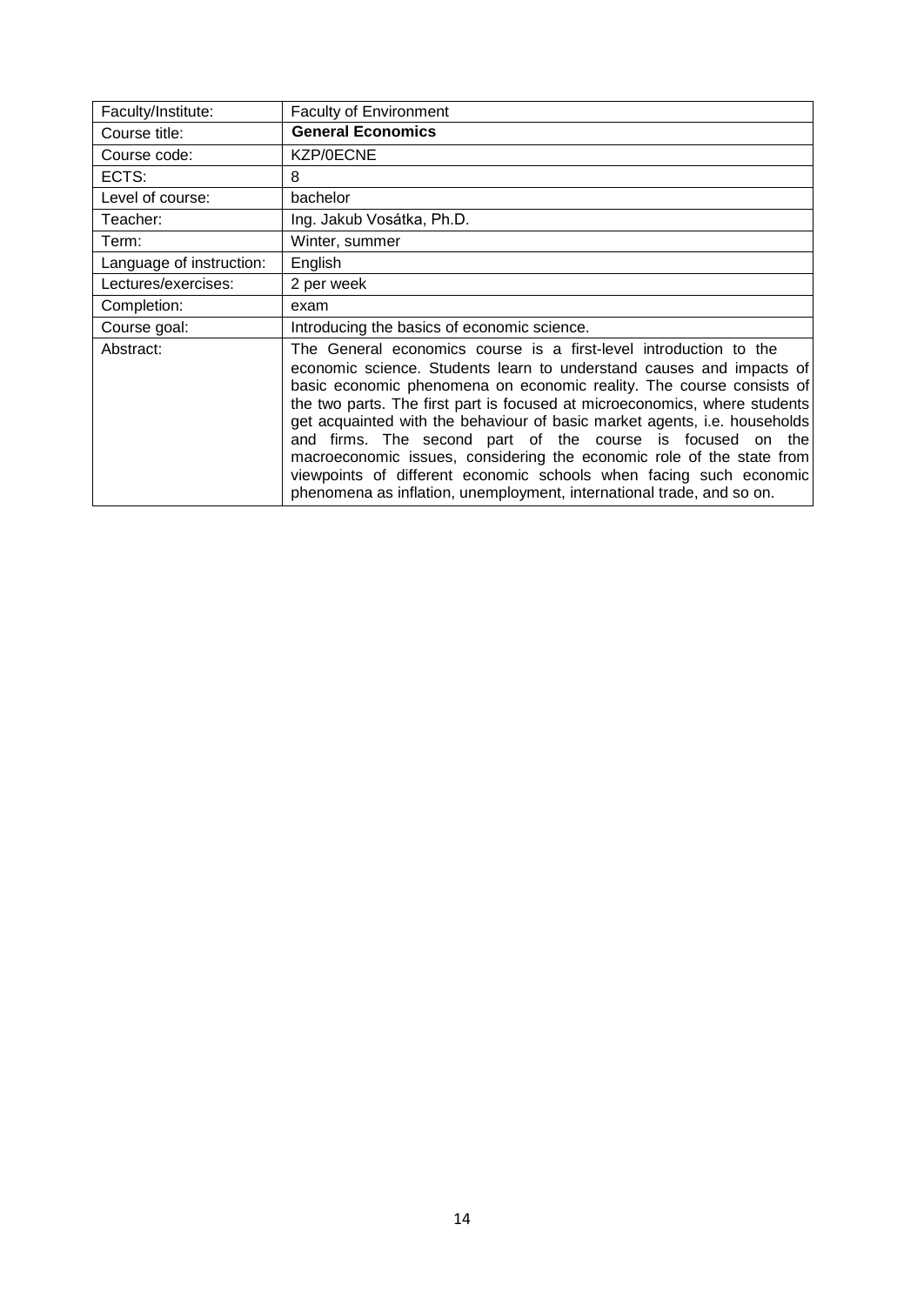<span id="page-13-0"></span>

| Faculty/Institute:       | <b>Faculty of Environment</b>                                                                                                                                                                                                                                                                                                                                                                                                                                                                                                                                                                                                                                      |
|--------------------------|--------------------------------------------------------------------------------------------------------------------------------------------------------------------------------------------------------------------------------------------------------------------------------------------------------------------------------------------------------------------------------------------------------------------------------------------------------------------------------------------------------------------------------------------------------------------------------------------------------------------------------------------------------------------|
| Course title:            | <b>General Economics</b>                                                                                                                                                                                                                                                                                                                                                                                                                                                                                                                                                                                                                                           |
| Course code:             | KZP/0ECNE                                                                                                                                                                                                                                                                                                                                                                                                                                                                                                                                                                                                                                                          |
| ECTS:                    | 8                                                                                                                                                                                                                                                                                                                                                                                                                                                                                                                                                                                                                                                                  |
| Level of course:         | bachelor                                                                                                                                                                                                                                                                                                                                                                                                                                                                                                                                                                                                                                                           |
| Teacher:                 | Ing. Jakub Vosátka, Ph.D.                                                                                                                                                                                                                                                                                                                                                                                                                                                                                                                                                                                                                                          |
| Term:                    | Winter, summer                                                                                                                                                                                                                                                                                                                                                                                                                                                                                                                                                                                                                                                     |
| Language of instruction: | English                                                                                                                                                                                                                                                                                                                                                                                                                                                                                                                                                                                                                                                            |
| Lectures/exercises:      | 2 per week                                                                                                                                                                                                                                                                                                                                                                                                                                                                                                                                                                                                                                                         |
| Completion:              | exam                                                                                                                                                                                                                                                                                                                                                                                                                                                                                                                                                                                                                                                               |
| Course goal:             | Introducing the basics of economic science.                                                                                                                                                                                                                                                                                                                                                                                                                                                                                                                                                                                                                        |
| Abstract:                | The General economics course is a first-level introduction to the<br>economic science. Students learn to understand causes and impacts of<br>basic economic phenomena on economic reality. The course consists of<br>the two parts. The first part is focused at microeconomics, where students<br>get acquainted with the behaviour of basic market agents, i.e. households<br>and firms. The second part of the course is focused on the<br>macroeconomic issues, considering the economic role of the state from<br>viewpoints of different economic schools when facing such economic<br>phenomena as inflation, unemployment, international trade, and so on. |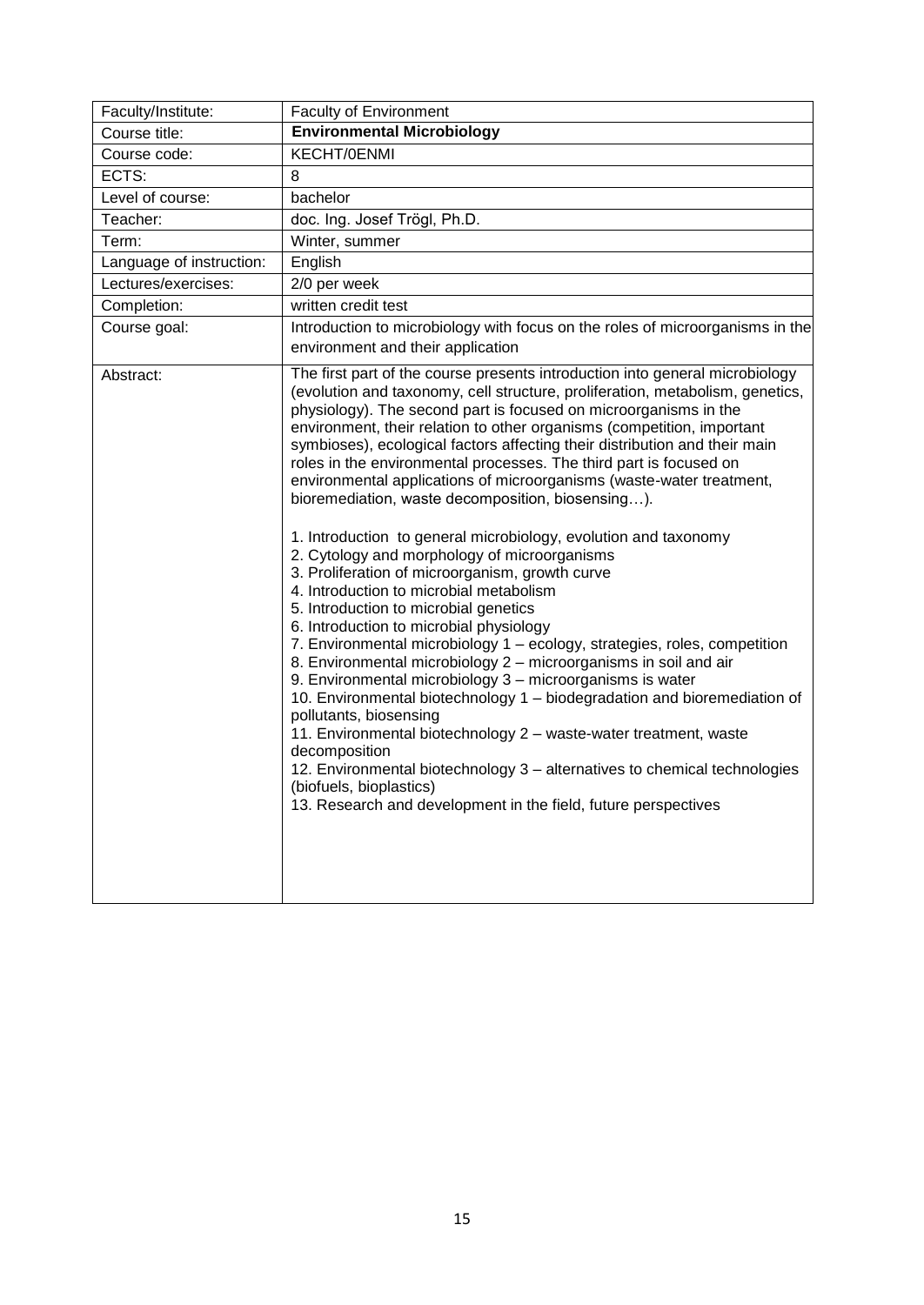<span id="page-14-0"></span>

| Faculty/Institute:       | <b>Faculty of Environment</b>                                                                                                                                                                                                                                                                                                                                                                                                                                                                                                                                                                                                                                                                                                                                                                                                                                                                                                                                                                                                                                                                                                                                                                                                                                                                                                                                                                                                                                                        |
|--------------------------|--------------------------------------------------------------------------------------------------------------------------------------------------------------------------------------------------------------------------------------------------------------------------------------------------------------------------------------------------------------------------------------------------------------------------------------------------------------------------------------------------------------------------------------------------------------------------------------------------------------------------------------------------------------------------------------------------------------------------------------------------------------------------------------------------------------------------------------------------------------------------------------------------------------------------------------------------------------------------------------------------------------------------------------------------------------------------------------------------------------------------------------------------------------------------------------------------------------------------------------------------------------------------------------------------------------------------------------------------------------------------------------------------------------------------------------------------------------------------------------|
| Course title:            | <b>Environmental Microbiology</b>                                                                                                                                                                                                                                                                                                                                                                                                                                                                                                                                                                                                                                                                                                                                                                                                                                                                                                                                                                                                                                                                                                                                                                                                                                                                                                                                                                                                                                                    |
| Course code:             | KECHT/0ENMI                                                                                                                                                                                                                                                                                                                                                                                                                                                                                                                                                                                                                                                                                                                                                                                                                                                                                                                                                                                                                                                                                                                                                                                                                                                                                                                                                                                                                                                                          |
| ECTS:                    | 8                                                                                                                                                                                                                                                                                                                                                                                                                                                                                                                                                                                                                                                                                                                                                                                                                                                                                                                                                                                                                                                                                                                                                                                                                                                                                                                                                                                                                                                                                    |
| Level of course:         | bachelor                                                                                                                                                                                                                                                                                                                                                                                                                                                                                                                                                                                                                                                                                                                                                                                                                                                                                                                                                                                                                                                                                                                                                                                                                                                                                                                                                                                                                                                                             |
| Teacher:                 | doc. Ing. Josef Trögl, Ph.D.                                                                                                                                                                                                                                                                                                                                                                                                                                                                                                                                                                                                                                                                                                                                                                                                                                                                                                                                                                                                                                                                                                                                                                                                                                                                                                                                                                                                                                                         |
| Term:                    | Winter, summer                                                                                                                                                                                                                                                                                                                                                                                                                                                                                                                                                                                                                                                                                                                                                                                                                                                                                                                                                                                                                                                                                                                                                                                                                                                                                                                                                                                                                                                                       |
| Language of instruction: | English                                                                                                                                                                                                                                                                                                                                                                                                                                                                                                                                                                                                                                                                                                                                                                                                                                                                                                                                                                                                                                                                                                                                                                                                                                                                                                                                                                                                                                                                              |
| Lectures/exercises:      | 2/0 per week                                                                                                                                                                                                                                                                                                                                                                                                                                                                                                                                                                                                                                                                                                                                                                                                                                                                                                                                                                                                                                                                                                                                                                                                                                                                                                                                                                                                                                                                         |
| Completion:              | written credit test                                                                                                                                                                                                                                                                                                                                                                                                                                                                                                                                                                                                                                                                                                                                                                                                                                                                                                                                                                                                                                                                                                                                                                                                                                                                                                                                                                                                                                                                  |
| Course goal:             | Introduction to microbiology with focus on the roles of microorganisms in the<br>environment and their application                                                                                                                                                                                                                                                                                                                                                                                                                                                                                                                                                                                                                                                                                                                                                                                                                                                                                                                                                                                                                                                                                                                                                                                                                                                                                                                                                                   |
| Abstract:                | The first part of the course presents introduction into general microbiology<br>(evolution and taxonomy, cell structure, proliferation, metabolism, genetics,<br>physiology). The second part is focused on microorganisms in the<br>environment, their relation to other organisms (competition, important<br>symbioses), ecological factors affecting their distribution and their main<br>roles in the environmental processes. The third part is focused on<br>environmental applications of microorganisms (waste-water treatment,<br>bioremediation, waste decomposition, biosensing).<br>1. Introduction to general microbiology, evolution and taxonomy<br>2. Cytology and morphology of microorganisms<br>3. Proliferation of microorganism, growth curve<br>4. Introduction to microbial metabolism<br>5. Introduction to microbial genetics<br>6. Introduction to microbial physiology<br>7. Environmental microbiology 1 - ecology, strategies, roles, competition<br>8. Environmental microbiology 2 - microorganisms in soil and air<br>9. Environmental microbiology 3 - microorganisms is water<br>10. Environmental biotechnology 1 - biodegradation and bioremediation of<br>pollutants, biosensing<br>11. Environmental biotechnology 2 - waste-water treatment, waste<br>decomposition<br>12. Environmental biotechnology 3 - alternatives to chemical technologies<br>(biofuels, bioplastics)<br>13. Research and development in the field, future perspectives |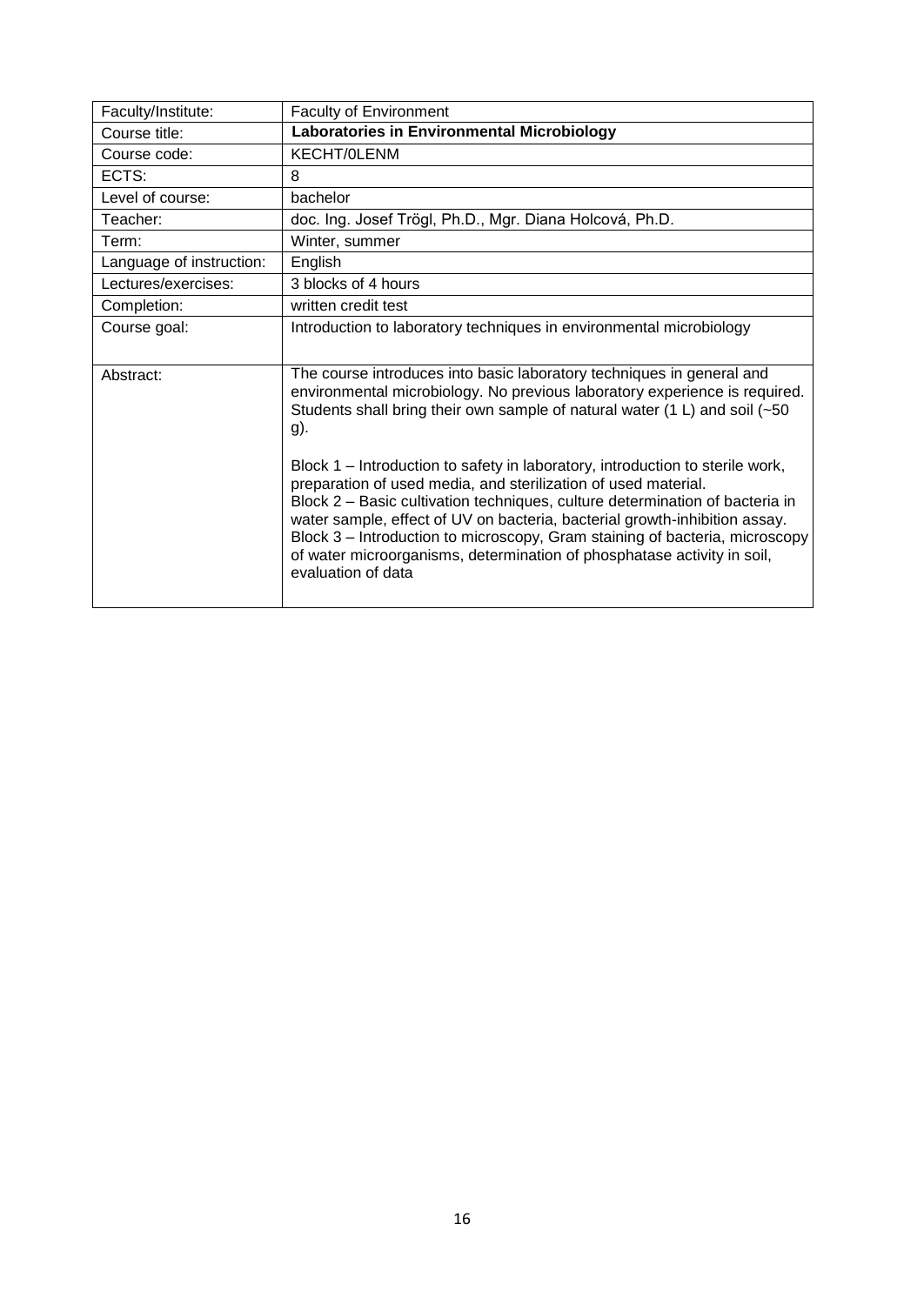<span id="page-15-0"></span>

| Faculty/Institute:       | Faculty of Environment                                                                                                                                                                                                                                                                                                                                                                                                                                                                        |
|--------------------------|-----------------------------------------------------------------------------------------------------------------------------------------------------------------------------------------------------------------------------------------------------------------------------------------------------------------------------------------------------------------------------------------------------------------------------------------------------------------------------------------------|
| Course title:            | Laboratories in Environmental Microbiology                                                                                                                                                                                                                                                                                                                                                                                                                                                    |
| Course code:             | KECHT/0LENM                                                                                                                                                                                                                                                                                                                                                                                                                                                                                   |
| ECTS:                    | 8                                                                                                                                                                                                                                                                                                                                                                                                                                                                                             |
| Level of course:         | bachelor                                                                                                                                                                                                                                                                                                                                                                                                                                                                                      |
| Teacher:                 | doc. Ing. Josef Trögl, Ph.D., Mgr. Diana Holcová, Ph.D.                                                                                                                                                                                                                                                                                                                                                                                                                                       |
| Term:                    | Winter, summer                                                                                                                                                                                                                                                                                                                                                                                                                                                                                |
| Language of instruction: | English                                                                                                                                                                                                                                                                                                                                                                                                                                                                                       |
| Lectures/exercises:      | 3 blocks of 4 hours                                                                                                                                                                                                                                                                                                                                                                                                                                                                           |
| Completion:              | written credit test                                                                                                                                                                                                                                                                                                                                                                                                                                                                           |
| Course goal:             | Introduction to laboratory techniques in environmental microbiology                                                                                                                                                                                                                                                                                                                                                                                                                           |
| Abstract:                | The course introduces into basic laboratory techniques in general and<br>environmental microbiology. No previous laboratory experience is required.<br>Students shall bring their own sample of natural water (1 L) and soil (~50<br>g).                                                                                                                                                                                                                                                      |
|                          | Block 1 – Introduction to safety in laboratory, introduction to sterile work,<br>preparation of used media, and sterilization of used material.<br>Block 2 – Basic cultivation techniques, culture determination of bacteria in<br>water sample, effect of UV on bacteria, bacterial growth-inhibition assay.<br>Block 3 – Introduction to microscopy, Gram staining of bacteria, microscopy<br>of water microorganisms, determination of phosphatase activity in soil,<br>evaluation of data |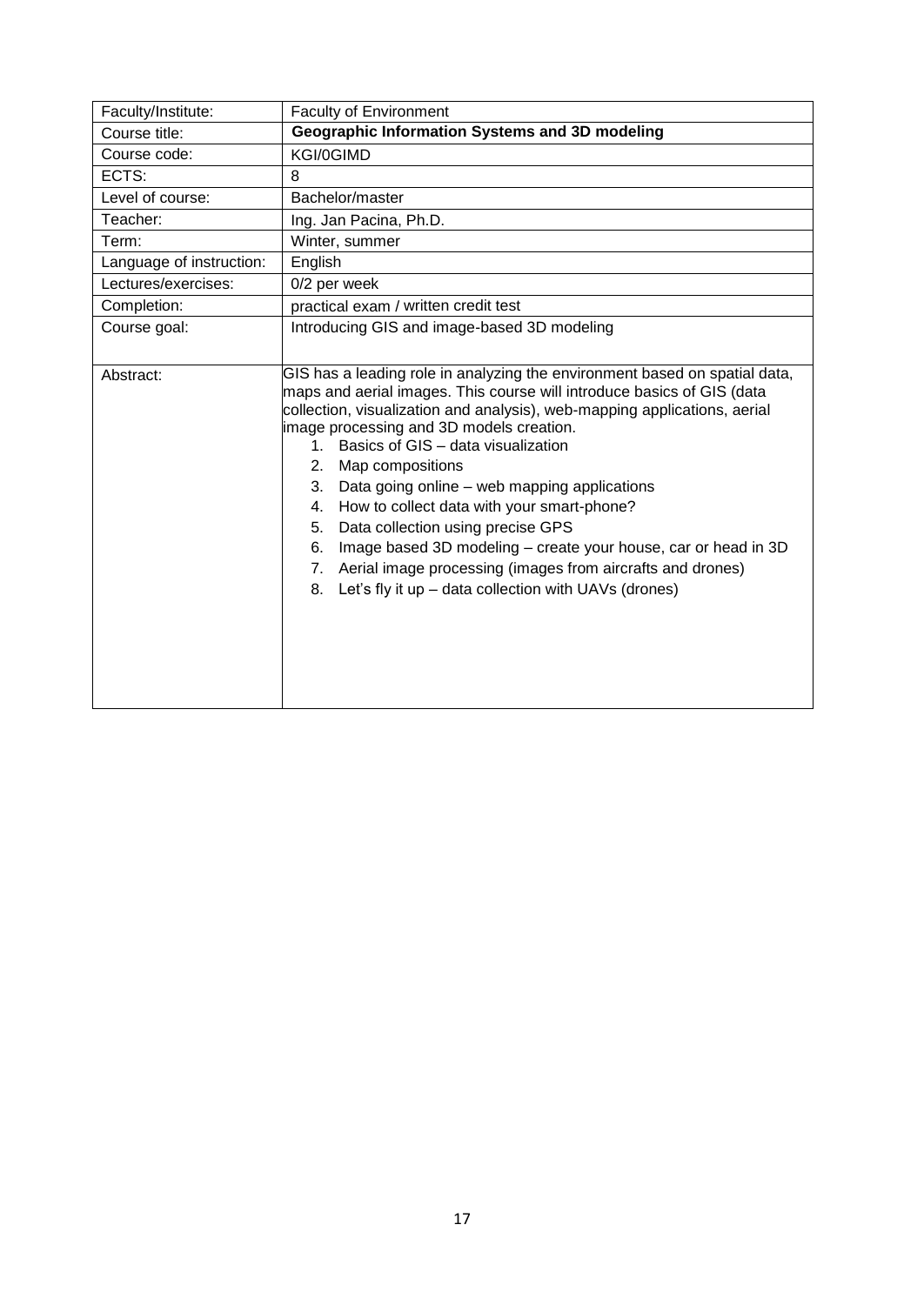<span id="page-16-0"></span>

| Faculty/Institute:       | <b>Faculty of Environment</b>                                                                                                                                                                                                                                                                                                                                                                                                                                                                                                                                                                                                                                                                             |
|--------------------------|-----------------------------------------------------------------------------------------------------------------------------------------------------------------------------------------------------------------------------------------------------------------------------------------------------------------------------------------------------------------------------------------------------------------------------------------------------------------------------------------------------------------------------------------------------------------------------------------------------------------------------------------------------------------------------------------------------------|
| Course title:            | Geographic Information Systems and 3D modeling                                                                                                                                                                                                                                                                                                                                                                                                                                                                                                                                                                                                                                                            |
| Course code:             | KGI/0GIMD                                                                                                                                                                                                                                                                                                                                                                                                                                                                                                                                                                                                                                                                                                 |
| ECTS:                    | 8                                                                                                                                                                                                                                                                                                                                                                                                                                                                                                                                                                                                                                                                                                         |
| Level of course:         | Bachelor/master                                                                                                                                                                                                                                                                                                                                                                                                                                                                                                                                                                                                                                                                                           |
| Teacher:                 | Ing. Jan Pacina, Ph.D.                                                                                                                                                                                                                                                                                                                                                                                                                                                                                                                                                                                                                                                                                    |
| Term:                    | Winter, summer                                                                                                                                                                                                                                                                                                                                                                                                                                                                                                                                                                                                                                                                                            |
| Language of instruction: | English                                                                                                                                                                                                                                                                                                                                                                                                                                                                                                                                                                                                                                                                                                   |
| Lectures/exercises:      | 0/2 per week                                                                                                                                                                                                                                                                                                                                                                                                                                                                                                                                                                                                                                                                                              |
| Completion:              | practical exam / written credit test                                                                                                                                                                                                                                                                                                                                                                                                                                                                                                                                                                                                                                                                      |
| Course goal:             | Introducing GIS and image-based 3D modeling                                                                                                                                                                                                                                                                                                                                                                                                                                                                                                                                                                                                                                                               |
|                          |                                                                                                                                                                                                                                                                                                                                                                                                                                                                                                                                                                                                                                                                                                           |
| Abstract:                | GIS has a leading role in analyzing the environment based on spatial data,<br>maps and aerial images. This course will introduce basics of GIS (data<br>collection, visualization and analysis), web-mapping applications, aerial<br>image processing and 3D models creation.<br>1. Basics of GIS - data visualization<br>2. Map compositions<br>Data going online – web mapping applications<br>3.<br>How to collect data with your smart-phone?<br>4.<br>Data collection using precise GPS<br>5.<br>Image based 3D modeling - create your house, car or head in 3D<br>6.<br>7. Aerial image processing (images from aircrafts and drones)<br>Let's fly it up - data collection with UAVs (drones)<br>8. |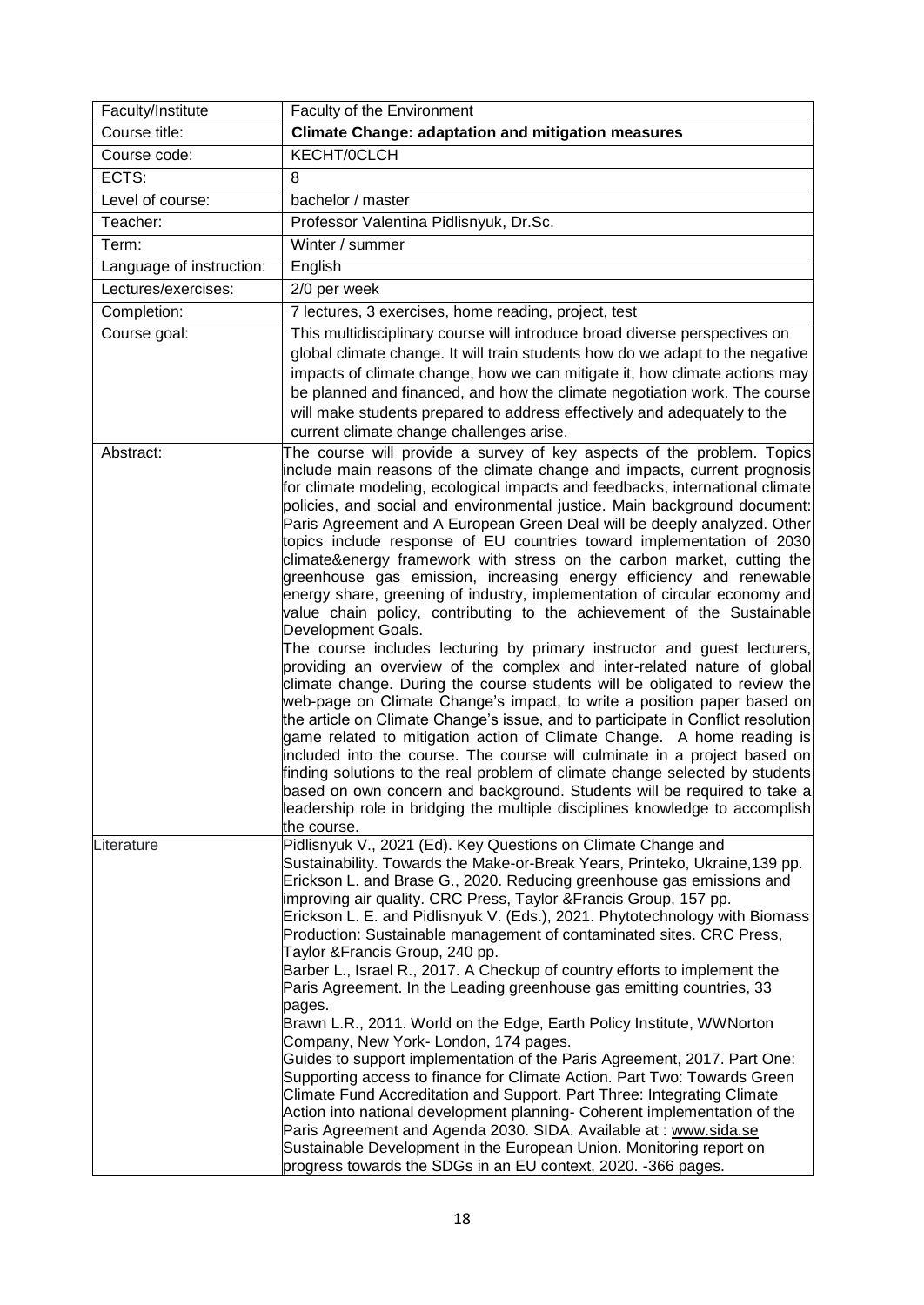<span id="page-17-0"></span>

| Faculty/Institute        | Faculty of the Environment                                                                                                                                                                                                                                                                                                                                                                                                                                                                                                                                                                                                                                                                                                                                                                                                                                                                                                                                                                                                                                                                                                                                                                                                                                                                                                                                                                                                                                                                                                                                                                                                  |
|--------------------------|-----------------------------------------------------------------------------------------------------------------------------------------------------------------------------------------------------------------------------------------------------------------------------------------------------------------------------------------------------------------------------------------------------------------------------------------------------------------------------------------------------------------------------------------------------------------------------------------------------------------------------------------------------------------------------------------------------------------------------------------------------------------------------------------------------------------------------------------------------------------------------------------------------------------------------------------------------------------------------------------------------------------------------------------------------------------------------------------------------------------------------------------------------------------------------------------------------------------------------------------------------------------------------------------------------------------------------------------------------------------------------------------------------------------------------------------------------------------------------------------------------------------------------------------------------------------------------------------------------------------------------|
| Course title:            | <b>Climate Change: adaptation and mitigation measures</b>                                                                                                                                                                                                                                                                                                                                                                                                                                                                                                                                                                                                                                                                                                                                                                                                                                                                                                                                                                                                                                                                                                                                                                                                                                                                                                                                                                                                                                                                                                                                                                   |
| Course code:             | KECHT/0CLCH                                                                                                                                                                                                                                                                                                                                                                                                                                                                                                                                                                                                                                                                                                                                                                                                                                                                                                                                                                                                                                                                                                                                                                                                                                                                                                                                                                                                                                                                                                                                                                                                                 |
| ECTS:                    | 8                                                                                                                                                                                                                                                                                                                                                                                                                                                                                                                                                                                                                                                                                                                                                                                                                                                                                                                                                                                                                                                                                                                                                                                                                                                                                                                                                                                                                                                                                                                                                                                                                           |
| Level of course:         | bachelor / master                                                                                                                                                                                                                                                                                                                                                                                                                                                                                                                                                                                                                                                                                                                                                                                                                                                                                                                                                                                                                                                                                                                                                                                                                                                                                                                                                                                                                                                                                                                                                                                                           |
| Teacher:                 | Professor Valentina Pidlisnyuk, Dr.Sc.                                                                                                                                                                                                                                                                                                                                                                                                                                                                                                                                                                                                                                                                                                                                                                                                                                                                                                                                                                                                                                                                                                                                                                                                                                                                                                                                                                                                                                                                                                                                                                                      |
| Term:                    | Winter / summer                                                                                                                                                                                                                                                                                                                                                                                                                                                                                                                                                                                                                                                                                                                                                                                                                                                                                                                                                                                                                                                                                                                                                                                                                                                                                                                                                                                                                                                                                                                                                                                                             |
| Language of instruction: | English                                                                                                                                                                                                                                                                                                                                                                                                                                                                                                                                                                                                                                                                                                                                                                                                                                                                                                                                                                                                                                                                                                                                                                                                                                                                                                                                                                                                                                                                                                                                                                                                                     |
| Lectures/exercises:      | 2/0 per week                                                                                                                                                                                                                                                                                                                                                                                                                                                                                                                                                                                                                                                                                                                                                                                                                                                                                                                                                                                                                                                                                                                                                                                                                                                                                                                                                                                                                                                                                                                                                                                                                |
| Completion:              | 7 lectures, 3 exercises, home reading, project, test                                                                                                                                                                                                                                                                                                                                                                                                                                                                                                                                                                                                                                                                                                                                                                                                                                                                                                                                                                                                                                                                                                                                                                                                                                                                                                                                                                                                                                                                                                                                                                        |
| Course goal:             | This multidisciplinary course will introduce broad diverse perspectives on<br>global climate change. It will train students how do we adapt to the negative<br>impacts of climate change, how we can mitigate it, how climate actions may<br>be planned and financed, and how the climate negotiation work. The course<br>will make students prepared to address effectively and adequately to the<br>current climate change challenges arise.                                                                                                                                                                                                                                                                                                                                                                                                                                                                                                                                                                                                                                                                                                                                                                                                                                                                                                                                                                                                                                                                                                                                                                              |
| Abstract:                | The course will provide a survey of key aspects of the problem. Topics<br>include main reasons of the climate change and impacts, current prognosis<br>for climate modeling, ecological impacts and feedbacks, international climate<br>policies, and social and environmental justice. Main background document:<br>Paris Agreement and A European Green Deal will be deeply analyzed. Other<br>topics include response of EU countries toward implementation of 2030<br>climate&energy framework with stress on the carbon market, cutting the<br>greenhouse gas emission, increasing energy efficiency and renewable<br>energy share, greening of industry, implementation of circular economy and<br>value chain policy, contributing to the achievement of the Sustainable<br>Development Goals.<br>The course includes lecturing by primary instructor and guest lecturers,<br>providing an overview of the complex and inter-related nature of global<br>climate change. During the course students will be obligated to review the<br>web-page on Climate Change's impact, to write a position paper based on<br>the article on Climate Change's issue, and to participate in Conflict resolution<br>game related to mitigation action of Climate Change. A home reading is<br>included into the course. The course will culminate in a project based on<br>finding solutions to the real problem of climate change selected by students<br>based on own concern and background. Students will be required to take a<br>leadership role in bridging the multiple disciplines knowledge to accomplish<br>the course. |
| Literature               | Pidlisnyuk V., 2021 (Ed). Key Questions on Climate Change and<br>Sustainability. Towards the Make-or-Break Years, Printeko, Ukraine, 139 pp.<br>Erickson L. and Brase G., 2020. Reducing greenhouse gas emissions and<br>improving air quality. CRC Press, Taylor & Francis Group, 157 pp.<br>Erickson L. E. and Pidlisnyuk V. (Eds.), 2021. Phytotechnology with Biomass<br>Production: Sustainable management of contaminated sites. CRC Press,<br>Taylor & Francis Group, 240 pp.<br>Barber L., Israel R., 2017. A Checkup of country efforts to implement the<br>Paris Agreement. In the Leading greenhouse gas emitting countries, 33<br>pages.<br>Brawn L.R., 2011. World on the Edge, Earth Policy Institute, WWNorton<br>Company, New York-London, 174 pages.<br>Guides to support implementation of the Paris Agreement, 2017. Part One:<br>Supporting access to finance for Climate Action. Part Two: Towards Green<br>Climate Fund Accreditation and Support. Part Three: Integrating Climate<br>Action into national development planning- Coherent implementation of the<br>Paris Agreement and Agenda 2030. SIDA. Available at: www.sida.se<br>Sustainable Development in the European Union. Monitoring report on<br>progress towards the SDGs in an EU context, 2020. -366 pages.                                                                                                                                                                                                                                                                                                                           |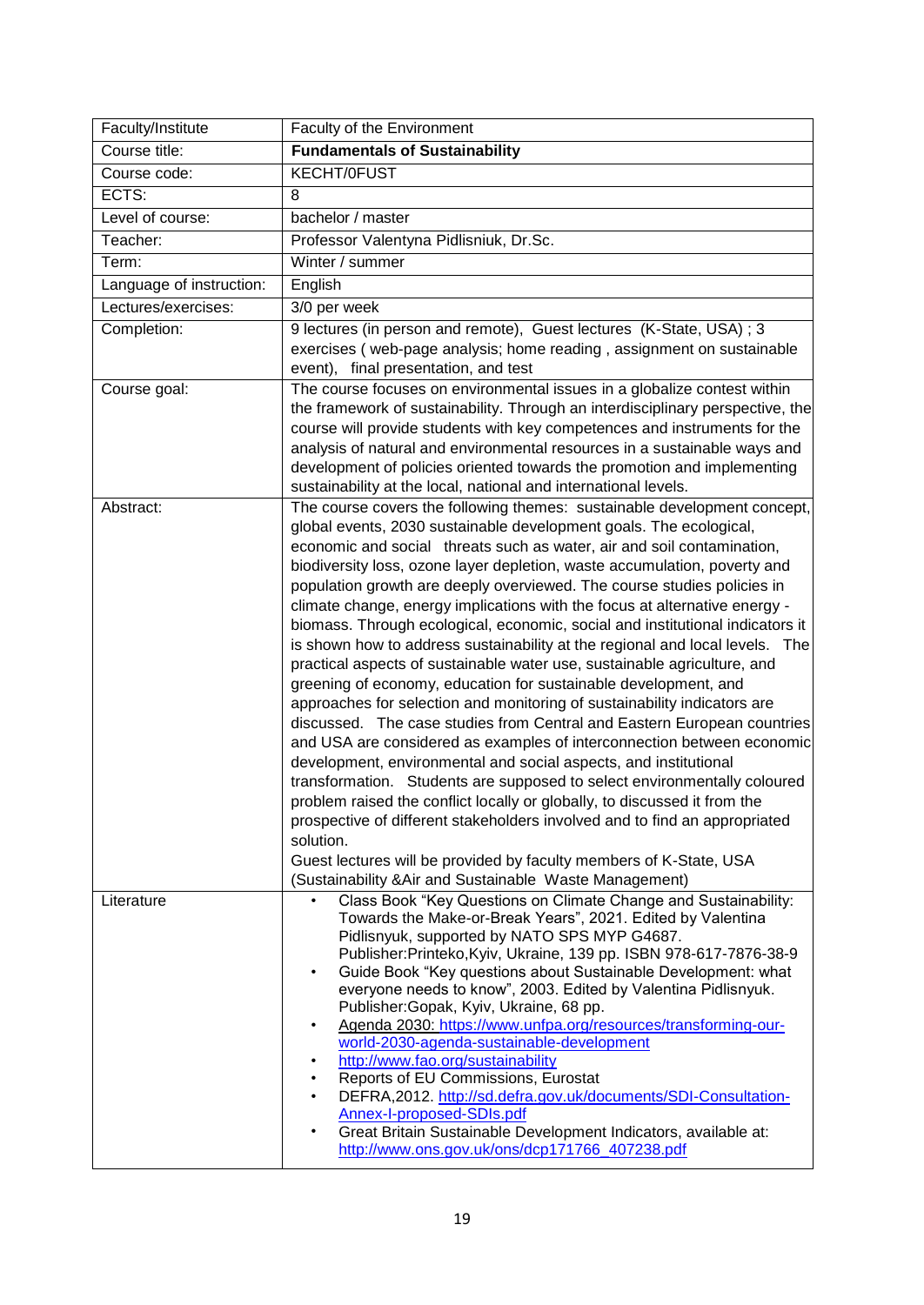<span id="page-18-0"></span>

| Faculty/Institute        | Faculty of the Environment                                                                                                                                                                                                              |
|--------------------------|-----------------------------------------------------------------------------------------------------------------------------------------------------------------------------------------------------------------------------------------|
| Course title:            | <b>Fundamentals of Sustainability</b>                                                                                                                                                                                                   |
| Course code:             | <b>KECHT/0FUST</b>                                                                                                                                                                                                                      |
| ECTS:                    | 8                                                                                                                                                                                                                                       |
| Level of course:         | bachelor / master                                                                                                                                                                                                                       |
| Teacher:                 | Professor Valentyna Pidlisniuk, Dr.Sc.                                                                                                                                                                                                  |
| Term:                    | Winter / summer                                                                                                                                                                                                                         |
| Language of instruction: | English                                                                                                                                                                                                                                 |
| Lectures/exercises:      | 3/0 per week                                                                                                                                                                                                                            |
| Completion:              | 9 lectures (in person and remote), Guest lectures (K-State, USA); 3                                                                                                                                                                     |
|                          | exercises (web-page analysis; home reading, assignment on sustainable                                                                                                                                                                   |
|                          | event), final presentation, and test                                                                                                                                                                                                    |
| Course goal:             | The course focuses on environmental issues in a globalize contest within<br>the framework of sustainability. Through an interdisciplinary perspective, the<br>course will provide students with key competences and instruments for the |
|                          | analysis of natural and environmental resources in a sustainable ways and                                                                                                                                                               |
|                          | development of policies oriented towards the promotion and implementing                                                                                                                                                                 |
|                          | sustainability at the local, national and international levels.                                                                                                                                                                         |
| Abstract:                | The course covers the following themes: sustainable development concept,                                                                                                                                                                |
|                          | global events, 2030 sustainable development goals. The ecological,<br>economic and social threats such as water, air and soil contamination,                                                                                            |
|                          | biodiversity loss, ozone layer depletion, waste accumulation, poverty and                                                                                                                                                               |
|                          | population growth are deeply overviewed. The course studies policies in                                                                                                                                                                 |
|                          | climate change, energy implications with the focus at alternative energy -                                                                                                                                                              |
|                          | biomass. Through ecological, economic, social and institutional indicators it                                                                                                                                                           |
|                          | is shown how to address sustainability at the regional and local levels. The                                                                                                                                                            |
|                          | practical aspects of sustainable water use, sustainable agriculture, and                                                                                                                                                                |
|                          | greening of economy, education for sustainable development, and                                                                                                                                                                         |
|                          | approaches for selection and monitoring of sustainability indicators are<br>discussed. The case studies from Central and Eastern European countries                                                                                     |
|                          | and USA are considered as examples of interconnection between economic<br>development, environmental and social aspects, and institutional                                                                                              |
|                          | transformation. Students are supposed to select environmentally coloured                                                                                                                                                                |
|                          | problem raised the conflict locally or globally, to discussed it from the                                                                                                                                                               |
|                          | prospective of different stakeholders involved and to find an appropriated                                                                                                                                                              |
|                          | solution.                                                                                                                                                                                                                               |
|                          | Guest lectures will be provided by faculty members of K-State, USA                                                                                                                                                                      |
|                          | (Sustainability & Air and Sustainable Waste Management)                                                                                                                                                                                 |
| Literature               | Class Book "Key Questions on Climate Change and Sustainability:                                                                                                                                                                         |
|                          | Towards the Make-or-Break Years", 2021. Edited by Valentina<br>Pidlisnyuk, supported by NATO SPS MYP G4687.                                                                                                                             |
|                          | Publisher:Printeko,Kyiv, Ukraine, 139 pp. ISBN 978-617-7876-38-9                                                                                                                                                                        |
|                          | Guide Book "Key questions about Sustainable Development: what<br>٠                                                                                                                                                                      |
|                          | everyone needs to know", 2003. Edited by Valentina Pidlisnyuk.                                                                                                                                                                          |
|                          | Publisher:Gopak, Kyiv, Ukraine, 68 pp.<br>Agenda 2030: https://www.unfpa.org/resources/transforming-our-<br>٠                                                                                                                           |
|                          | world-2030-agenda-sustainable-development                                                                                                                                                                                               |
|                          | http://www.fao.org/sustainability<br>٠                                                                                                                                                                                                  |
|                          | Reports of EU Commissions, Eurostat<br>٠                                                                                                                                                                                                |
|                          | DEFRA, 2012. http://sd.defra.gov.uk/documents/SDI-Consultation-<br>٠<br>Annex-I-proposed-SDIs.pdf                                                                                                                                       |
|                          | Great Britain Sustainable Development Indicators, available at:<br>٠                                                                                                                                                                    |
|                          | http://www.ons.gov.uk/ons/dcp171766_407238.pdf                                                                                                                                                                                          |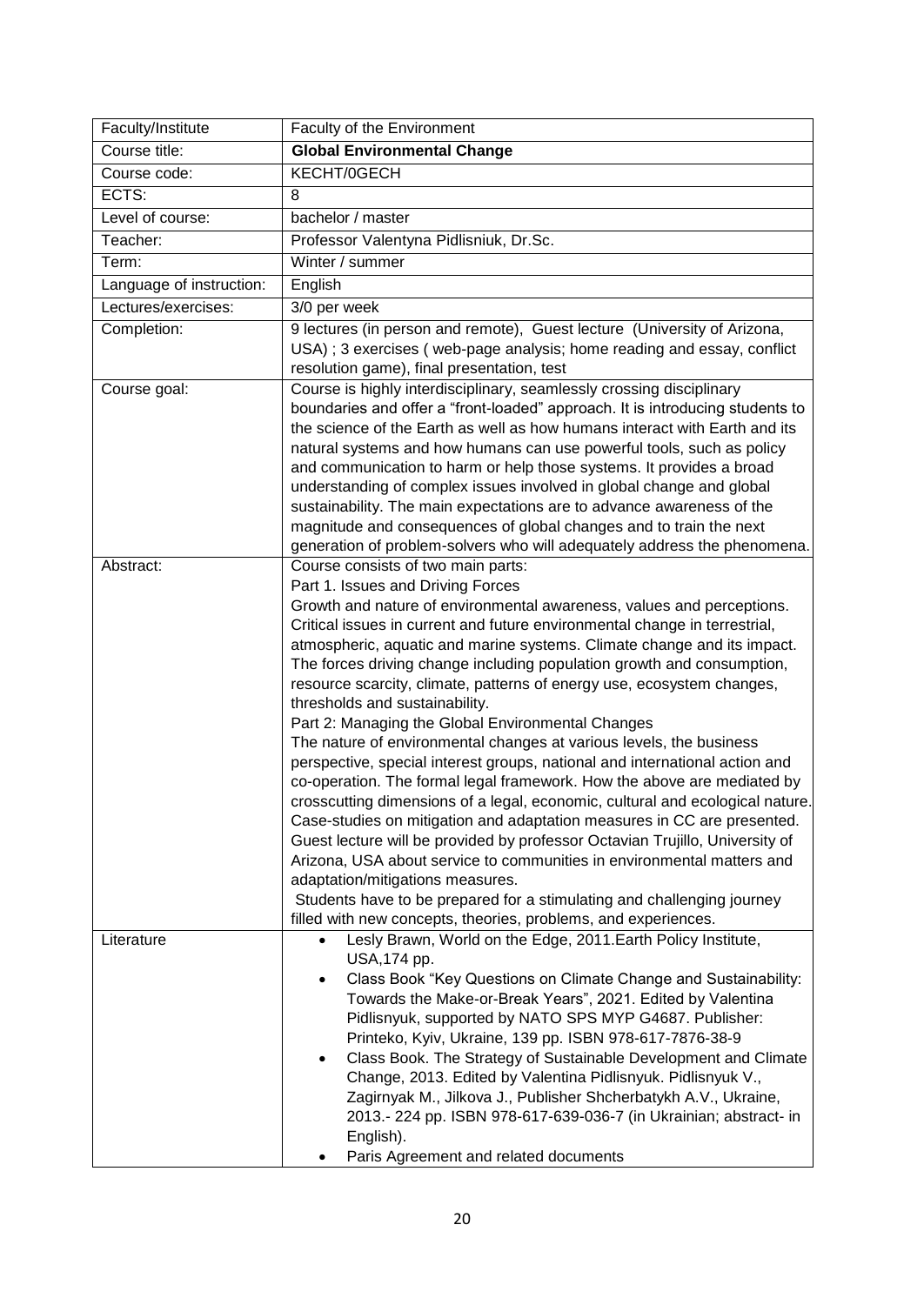<span id="page-19-0"></span>

| Faculty/Institute        | Faculty of the Environment                                                                                     |
|--------------------------|----------------------------------------------------------------------------------------------------------------|
| Course title:            | <b>Global Environmental Change</b>                                                                             |
| Course code:             | KECHT/0GECH                                                                                                    |
| ECTS:                    | 8                                                                                                              |
| Level of course:         | bachelor / master                                                                                              |
| Teacher:                 | Professor Valentyna Pidlisniuk, Dr.Sc.                                                                         |
| Term:                    | Winter / summer                                                                                                |
| Language of instruction: | English                                                                                                        |
| Lectures/exercises:      | 3/0 per week                                                                                                   |
| Completion:              | 9 lectures (in person and remote), Guest lecture (University of Arizona,                                       |
|                          | USA); 3 exercises (web-page analysis; home reading and essay, conflict                                         |
|                          | resolution game), final presentation, test                                                                     |
| Course goal:             | Course is highly interdisciplinary, seamlessly crossing disciplinary                                           |
|                          | boundaries and offer a "front-loaded" approach. It is introducing students to                                  |
|                          | the science of the Earth as well as how humans interact with Earth and its                                     |
|                          | natural systems and how humans can use powerful tools, such as policy                                          |
|                          | and communication to harm or help those systems. It provides a broad                                           |
|                          | understanding of complex issues involved in global change and global                                           |
|                          | sustainability. The main expectations are to advance awareness of the                                          |
|                          | magnitude and consequences of global changes and to train the next                                             |
| Abstract:                | generation of problem-solvers who will adequately address the phenomena.<br>Course consists of two main parts: |
|                          | Part 1. Issues and Driving Forces                                                                              |
|                          | Growth and nature of environmental awareness, values and perceptions.                                          |
|                          | Critical issues in current and future environmental change in terrestrial,                                     |
|                          | atmospheric, aquatic and marine systems. Climate change and its impact.                                        |
|                          | The forces driving change including population growth and consumption,                                         |
|                          | resource scarcity, climate, patterns of energy use, ecosystem changes,                                         |
|                          | thresholds and sustainability.                                                                                 |
|                          | Part 2: Managing the Global Environmental Changes                                                              |
|                          | The nature of environmental changes at various levels, the business                                            |
|                          | perspective, special interest groups, national and international action and                                    |
|                          | co-operation. The formal legal framework. How the above are mediated by                                        |
|                          | crosscutting dimensions of a legal, economic, cultural and ecological nature.                                  |
|                          | Case-studies on mitigation and adaptation measures in CC are presented.                                        |
|                          | Guest lecture will be provided by professor Octavian Trujillo, University of                                   |
|                          | Arizona, USA about service to communities in environmental matters and<br>adaptation/mitigations measures.     |
|                          | Students have to be prepared for a stimulating and challenging journey                                         |
|                          | filled with new concepts, theories, problems, and experiences.                                                 |
| Literature               | Lesly Brawn, World on the Edge, 2011. Earth Policy Institute,                                                  |
|                          | USA, 174 pp.                                                                                                   |
|                          | Class Book "Key Questions on Climate Change and Sustainability:<br>$\bullet$                                   |
|                          | Towards the Make-or-Break Years", 2021. Edited by Valentina                                                    |
|                          | Pidlisnyuk, supported by NATO SPS MYP G4687. Publisher:                                                        |
|                          | Printeko, Kyiv, Ukraine, 139 pp. ISBN 978-617-7876-38-9                                                        |
|                          | Class Book. The Strategy of Sustainable Development and Climate<br>٠                                           |
|                          | Change, 2013. Edited by Valentina Pidlisnyuk. Pidlisnyuk V.,                                                   |
|                          | Zagirnyak M., Jilkova J., Publisher Shcherbatykh A.V., Ukraine,                                                |
|                          | 2013.- 224 pp. ISBN 978-617-639-036-7 (in Ukrainian; abstract- in                                              |
|                          | English).                                                                                                      |
|                          | Paris Agreement and related documents                                                                          |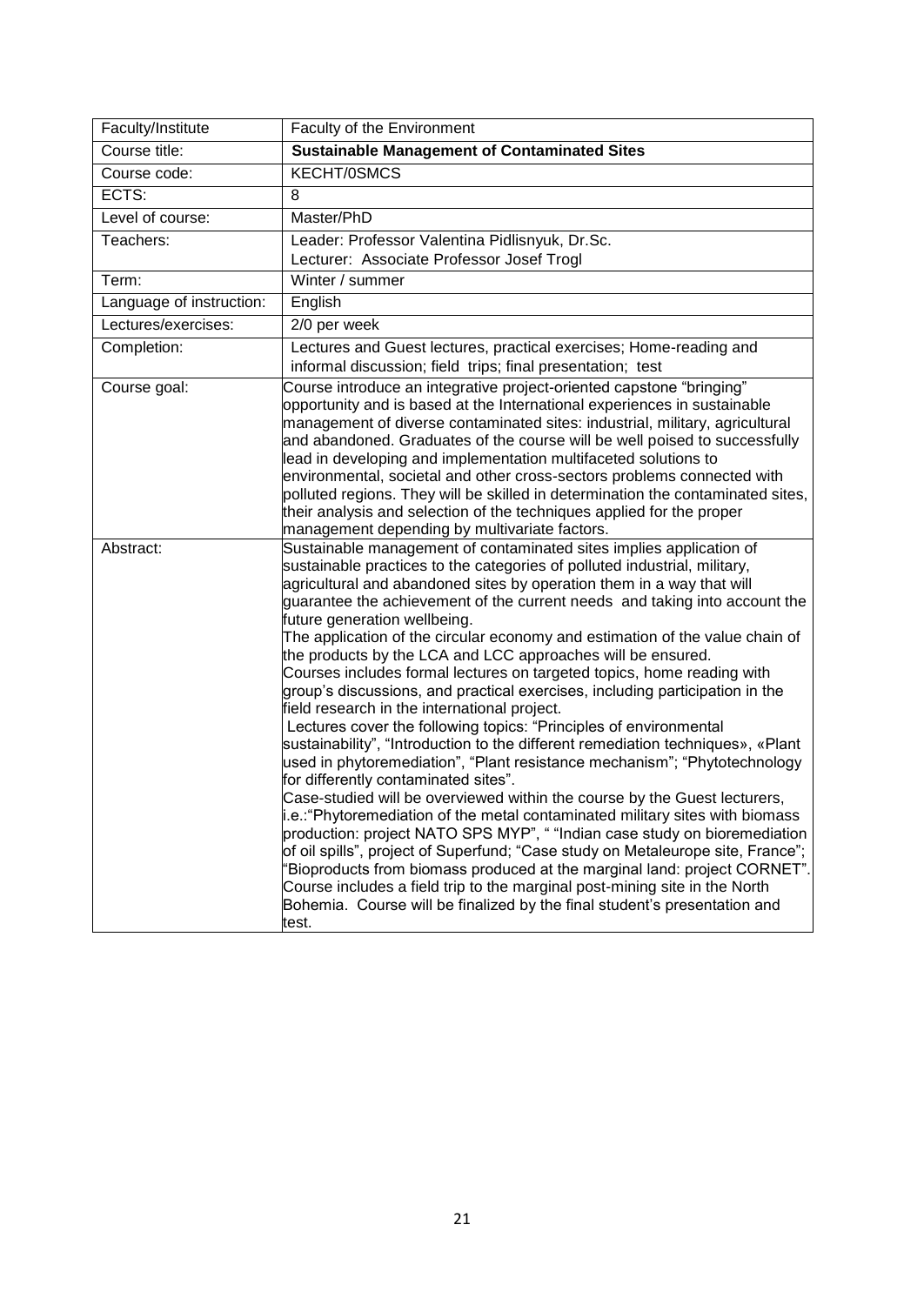<span id="page-20-0"></span>

| Faculty/Institute        | Faculty of the Environment                                                                                                                                                                                                                                                                                                                                                                                                                                                                                                                                                                                                                                                                                                                                                                                                                                                                                                                                                                                                                                                                                                                                                                                                                                                                                                                                                                                                                                                                                                                                   |
|--------------------------|--------------------------------------------------------------------------------------------------------------------------------------------------------------------------------------------------------------------------------------------------------------------------------------------------------------------------------------------------------------------------------------------------------------------------------------------------------------------------------------------------------------------------------------------------------------------------------------------------------------------------------------------------------------------------------------------------------------------------------------------------------------------------------------------------------------------------------------------------------------------------------------------------------------------------------------------------------------------------------------------------------------------------------------------------------------------------------------------------------------------------------------------------------------------------------------------------------------------------------------------------------------------------------------------------------------------------------------------------------------------------------------------------------------------------------------------------------------------------------------------------------------------------------------------------------------|
| Course title:            | <b>Sustainable Management of Contaminated Sites</b>                                                                                                                                                                                                                                                                                                                                                                                                                                                                                                                                                                                                                                                                                                                                                                                                                                                                                                                                                                                                                                                                                                                                                                                                                                                                                                                                                                                                                                                                                                          |
| Course code:             | KECHT/0SMCS                                                                                                                                                                                                                                                                                                                                                                                                                                                                                                                                                                                                                                                                                                                                                                                                                                                                                                                                                                                                                                                                                                                                                                                                                                                                                                                                                                                                                                                                                                                                                  |
| ECTS:                    | 8                                                                                                                                                                                                                                                                                                                                                                                                                                                                                                                                                                                                                                                                                                                                                                                                                                                                                                                                                                                                                                                                                                                                                                                                                                                                                                                                                                                                                                                                                                                                                            |
| Level of course:         | Master/PhD                                                                                                                                                                                                                                                                                                                                                                                                                                                                                                                                                                                                                                                                                                                                                                                                                                                                                                                                                                                                                                                                                                                                                                                                                                                                                                                                                                                                                                                                                                                                                   |
| Teachers:                | Leader: Professor Valentina Pidlisnyuk, Dr.Sc.                                                                                                                                                                                                                                                                                                                                                                                                                                                                                                                                                                                                                                                                                                                                                                                                                                                                                                                                                                                                                                                                                                                                                                                                                                                                                                                                                                                                                                                                                                               |
|                          | Lecturer: Associate Professor Josef Trogl                                                                                                                                                                                                                                                                                                                                                                                                                                                                                                                                                                                                                                                                                                                                                                                                                                                                                                                                                                                                                                                                                                                                                                                                                                                                                                                                                                                                                                                                                                                    |
| Term:                    | Winter / summer                                                                                                                                                                                                                                                                                                                                                                                                                                                                                                                                                                                                                                                                                                                                                                                                                                                                                                                                                                                                                                                                                                                                                                                                                                                                                                                                                                                                                                                                                                                                              |
| Language of instruction: | English                                                                                                                                                                                                                                                                                                                                                                                                                                                                                                                                                                                                                                                                                                                                                                                                                                                                                                                                                                                                                                                                                                                                                                                                                                                                                                                                                                                                                                                                                                                                                      |
| Lectures/exercises:      | 2/0 per week                                                                                                                                                                                                                                                                                                                                                                                                                                                                                                                                                                                                                                                                                                                                                                                                                                                                                                                                                                                                                                                                                                                                                                                                                                                                                                                                                                                                                                                                                                                                                 |
| Completion:              | Lectures and Guest lectures, practical exercises; Home-reading and                                                                                                                                                                                                                                                                                                                                                                                                                                                                                                                                                                                                                                                                                                                                                                                                                                                                                                                                                                                                                                                                                                                                                                                                                                                                                                                                                                                                                                                                                           |
|                          | informal discussion; field trips; final presentation; test                                                                                                                                                                                                                                                                                                                                                                                                                                                                                                                                                                                                                                                                                                                                                                                                                                                                                                                                                                                                                                                                                                                                                                                                                                                                                                                                                                                                                                                                                                   |
| Course goal:             | Course introduce an integrative project-oriented capstone "bringing"<br>opportunity and is based at the International experiences in sustainable<br>management of diverse contaminated sites: industrial, military, agricultural<br>and abandoned. Graduates of the course will be well poised to successfully<br>lead in developing and implementation multifaceted solutions to<br>environmental, societal and other cross-sectors problems connected with<br>polluted regions. They will be skilled in determination the contaminated sites,<br>their analysis and selection of the techniques applied for the proper<br>management depending by multivariate factors.                                                                                                                                                                                                                                                                                                                                                                                                                                                                                                                                                                                                                                                                                                                                                                                                                                                                                    |
| Abstract:                | Sustainable management of contaminated sites implies application of<br>sustainable practices to the categories of polluted industrial, military,<br>agricultural and abandoned sites by operation them in a way that will<br>guarantee the achievement of the current needs and taking into account the<br>future generation wellbeing.<br>The application of the circular economy and estimation of the value chain of<br>the products by the LCA and LCC approaches will be ensured.<br>Courses includes formal lectures on targeted topics, home reading with<br>group's discussions, and practical exercises, including participation in the<br>field research in the international project.<br>Lectures cover the following topics: "Principles of environmental<br>sustainability", "Introduction to the different remediation techniques», «Plant<br>used in phytoremediation", "Plant resistance mechanism"; "Phytotechnology<br>for differently contaminated sites".<br>Case-studied will be overviewed within the course by the Guest lecturers,<br>i.e.: "Phytoremediation of the metal contaminated military sites with biomass<br>production: project NATO SPS MYP", " "Indian case study on bioremediation<br>of oil spills", project of Superfund; "Case study on Metaleurope site, France";<br>"Bioproducts from biomass produced at the marginal land: project CORNET".<br>Course includes a field trip to the marginal post-mining site in the North<br>Bohemia. Course will be finalized by the final student's presentation and<br>test. |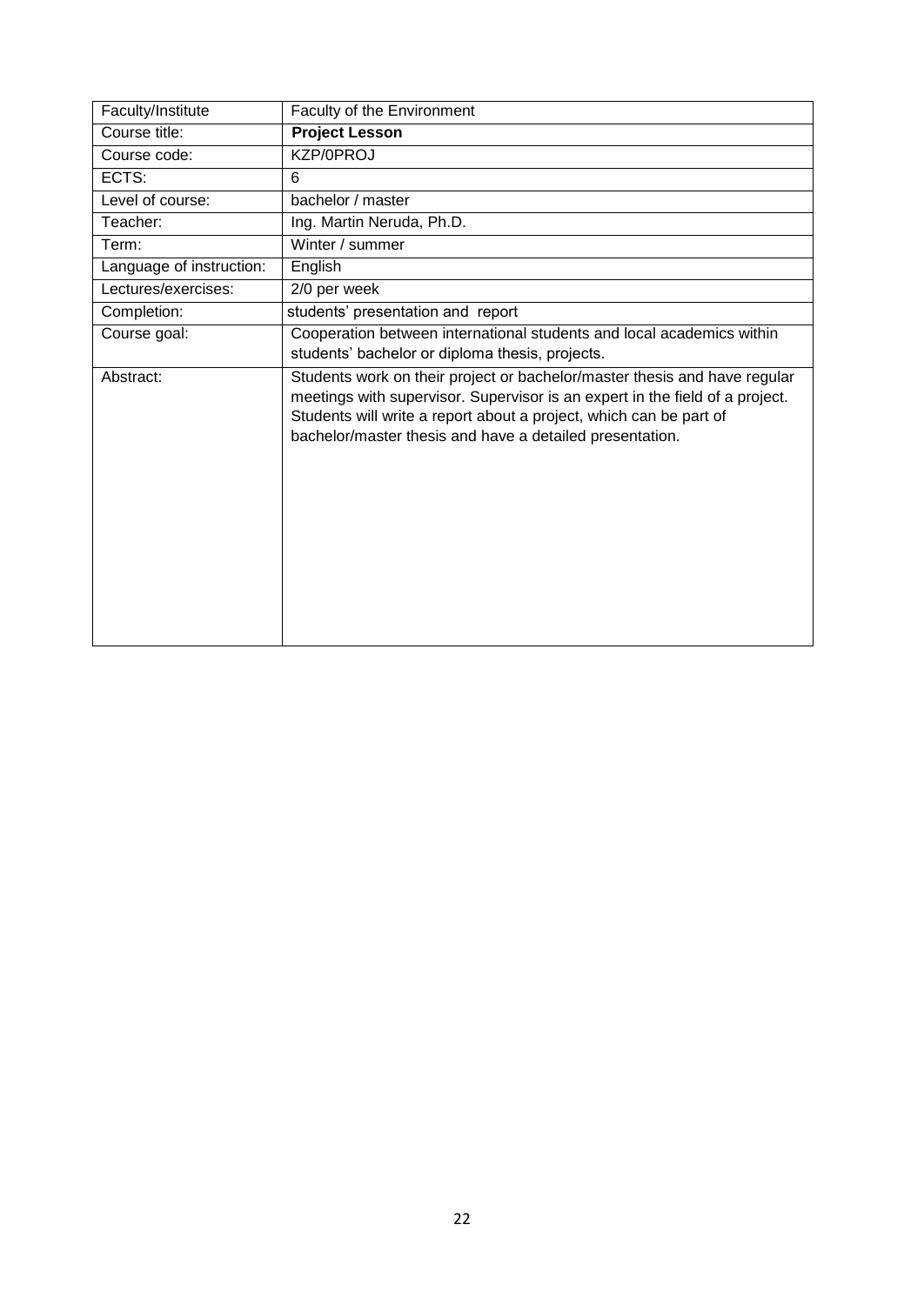<span id="page-21-0"></span>

| Faculty/Institute        | Faculty of the Environment                                                                                                                                                                                                                                                                  |
|--------------------------|---------------------------------------------------------------------------------------------------------------------------------------------------------------------------------------------------------------------------------------------------------------------------------------------|
| Course title:            | <b>Project Lesson</b>                                                                                                                                                                                                                                                                       |
| Course code:             | KZP/0PROJ                                                                                                                                                                                                                                                                                   |
| ECTS:                    | 6                                                                                                                                                                                                                                                                                           |
| Level of course:         | bachelor / master                                                                                                                                                                                                                                                                           |
| Teacher:                 | Ing. Martin Neruda, Ph.D.                                                                                                                                                                                                                                                                   |
| Term:                    | Winter / summer                                                                                                                                                                                                                                                                             |
| Language of instruction: | English                                                                                                                                                                                                                                                                                     |
| Lectures/exercises:      | 2/0 per week                                                                                                                                                                                                                                                                                |
| Completion:              | students' presentation and report                                                                                                                                                                                                                                                           |
| Course goal:             | Cooperation between international students and local academics within<br>students' bachelor or diploma thesis, projects.                                                                                                                                                                    |
| Abstract:                | Students work on their project or bachelor/master thesis and have regular<br>meetings with supervisor. Supervisor is an expert in the field of a project.<br>Students will write a report about a project, which can be part of<br>bachelor/master thesis and have a detailed presentation. |